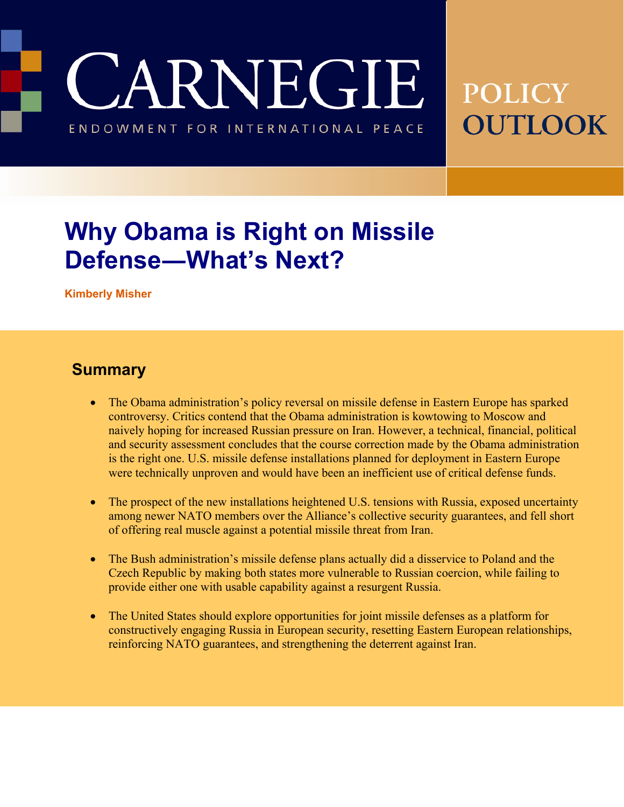JARNEGIE

**POLICY OUTLOOK** ENDOWMENT FOR INTERNATIONAL PEACE

# **Why Obama is Right on Missile Defense―What's Next?**

**Kimberly Misher** 

#### **Summary**

- The Obama administration's policy reversal on missile defense in Eastern Europe has sparked controversy. Critics contend that the Obama administration is kowtowing to Moscow and naively hoping for increased Russian pressure on Iran. However, a technical, financial, political and security assessment concludes that the course correction made by the Obama administration is the right one. U.S. missile defense installations planned for deployment in Eastern Europe were technically unproven and would have been an inefficient use of critical defense funds.
- The prospect of the new installations heightened U.S. tensions with Russia, exposed uncertainty among newer NATO members over the Alliance's collective security guarantees, and fell short of offering real muscle against a potential missile threat from Iran.
- The Bush administration's missile defense plans actually did a disservice to Poland and the Czech Republic by making both states more vulnerable to Russian coercion, while failing to provide either one with usable capability against a resurgent Russia.
- The United States should explore opportunities for joint missile defenses as a platform for constructively engaging Russia in European security, resetting Eastern European relationships, reinforcing NATO guarantees, and strengthening the deterrent against Iran.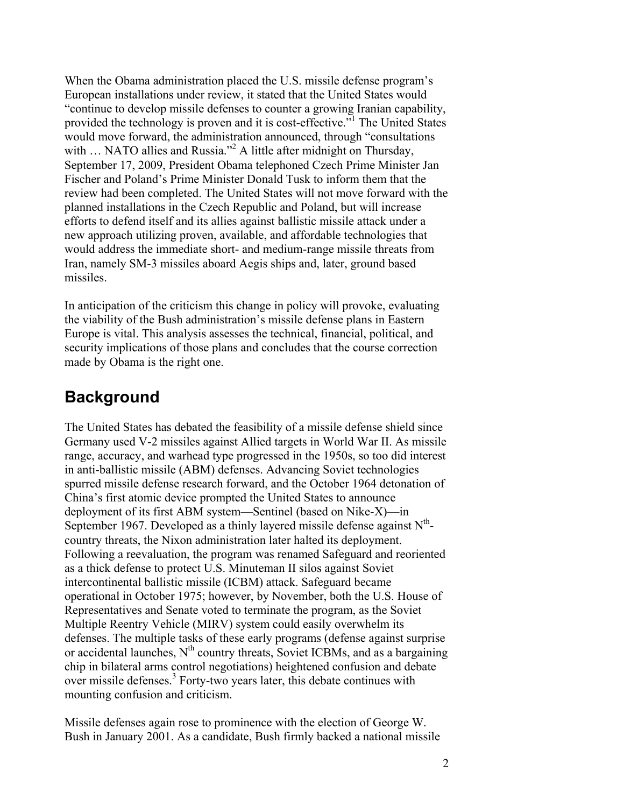When the Obama administration placed the U.S. missile defense program's European installations under review, it stated that the United States would "continue to develop missile defenses to counter a growing Iranian capability, provided the technology is proven and it is cost-effective."<sup>1</sup> The United States would move forward, the administration announced, through "consultations with ... NATO allies and Russia."<sup>2</sup> A little after midnight on Thursday, September 17, 2009, President Obama telephoned Czech Prime Minister Jan Fischer and Poland's Prime Minister Donald Tusk to inform them that the review had been completed. The United States will not move forward with the planned installations in the Czech Republic and Poland, but will increase efforts to defend itself and its allies against ballistic missile attack under a new approach utilizing proven, available, and affordable technologies that would address the immediate short- and medium-range missile threats from Iran, namely SM-3 missiles aboard Aegis ships and, later, ground based missiles.

In anticipation of the criticism this change in policy will provoke, evaluating the viability of the Bush administration's missile defense plans in Eastern Europe is vital. This analysis assesses the technical, financial, political, and security implications of those plans and concludes that the course correction made by Obama is the right one.

### **Background**

The United States has debated the feasibility of a missile defense shield since Germany used V-2 missiles against Allied targets in World War II. As missile range, accuracy, and warhead type progressed in the 1950s, so too did interest in anti-ballistic missile (ABM) defenses. Advancing Soviet technologies spurred missile defense research forward, and the October 1964 detonation of China's first atomic device prompted the United States to announce deployment of its first ABM system—Sentinel (based on Nike-X)—in September 1967. Developed as a thinly layered missile defense against  $N^{th}$ country threats, the Nixon administration later halted its deployment. Following a reevaluation, the program was renamed Safeguard and reoriented as a thick defense to protect U.S. Minuteman II silos against Soviet intercontinental ballistic missile (ICBM) attack. Safeguard became operational in October 1975; however, by November, both the U.S. House of Representatives and Senate voted to terminate the program, as the Soviet Multiple Reentry Vehicle (MIRV) system could easily overwhelm its defenses. The multiple tasks of these early programs (defense against surprise or accidental launches,  $N<sup>th</sup>$  country threats, Soviet ICBMs, and as a bargaining chip in bilateral arms control negotiations) heightened confusion and debate over missile defenses.<sup>3</sup> Forty-two years later, this debate continues with mounting confusion and criticism.

Missile defenses again rose to prominence with the election of George W. Bush in January 2001. As a candidate, Bush firmly backed a national missile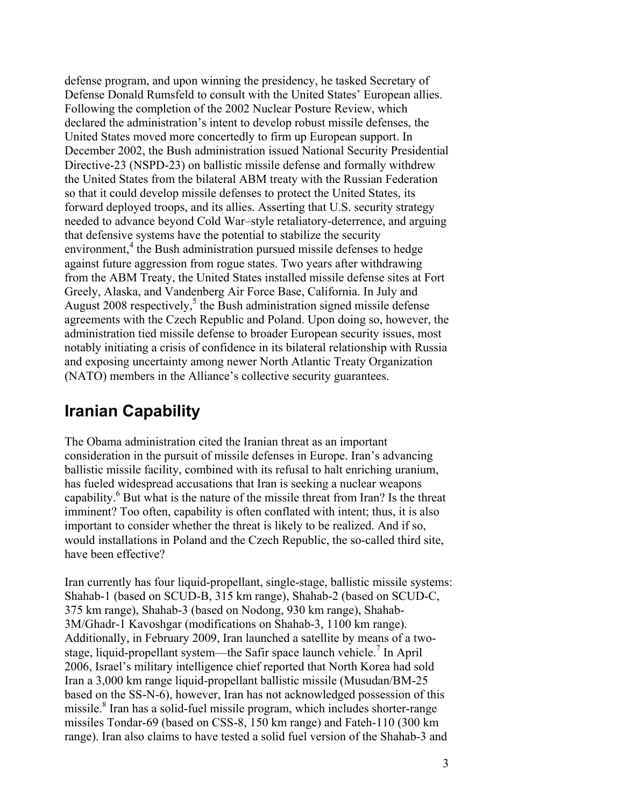defense program, and upon winning the presidency, he tasked Secretary of Defense Donald Rumsfeld to consult with the United States' European allies. Following the completion of the 2002 Nuclear Posture Review, which declared the administration's intent to develop robust missile defenses, the United States moved more concertedly to firm up European support. In December 2002, the Bush administration issued National Security Presidential Directive-23 (NSPD-23) on ballistic missile defense and formally withdrew the United States from the bilateral ABM treaty with the Russian Federation so that it could develop missile defenses to protect the United States, its forward deployed troops, and its allies. Asserting that U.S. security strategy needed to advance beyond Cold War–style retaliatory-deterrence, and arguing that defensive systems have the potential to stabilize the security environment,<sup>4</sup> the Bush administration pursued missile defenses to hedge against future aggression from rogue states. Two years after withdrawing from the ABM Treaty, the United States installed missile defense sites at Fort Greely, Alaska, and Vandenberg Air Force Base, California. In July and August 2008 respectively,<sup>5</sup> the Bush administration signed missile defense agreements with the Czech Republic and Poland. Upon doing so, however, the administration tied missile defense to broader European security issues, most notably initiating a crisis of confidence in its bilateral relationship with Russia and exposing uncertainty among newer North Atlantic Treaty Organization (NATO) members in the Alliance's collective security guarantees.

### **Iranian Capability**

The Obama administration cited the Iranian threat as an important consideration in the pursuit of missile defenses in Europe. Iran's advancing ballistic missile facility, combined with its refusal to halt enriching uranium, has fueled widespread accusations that Iran is seeking a nuclear weapons capability.<sup>6</sup> But what is the nature of the missile threat from Iran? Is the threat imminent? Too often, capability is often conflated with intent; thus, it is also important to consider whether the threat is likely to be realized. And if so, would installations in Poland and the Czech Republic, the so-called third site, have been effective?

Iran currently has four liquid-propellant, single-stage, ballistic missile systems: Shahab-1 (based on SCUD-B, 315 km range), Shahab-2 (based on SCUD-C, 375 km range), Shahab-3 (based on Nodong, 930 km range), Shahab-3M/Ghadr-1 Kavoshgar (modifications on Shahab-3, 1100 km range). Additionally, in February 2009, Iran launched a satellite by means of a twostage, liquid-propellant system—the Safir space launch vehicle.<sup>7</sup> In April 2006, Israel's military intelligence chief reported that North Korea had sold Iran a 3,000 km range liquid-propellant ballistic missile (Musudan/BM-25 based on the SS-N-6), however, Iran has not acknowledged possession of this missile.<sup>8</sup> Iran has a solid-fuel missile program, which includes shorter-range missiles Tondar-69 (based on CSS-8, 150 km range) and Fateh-110 (300 km range). Iran also claims to have tested a solid fuel version of the Shahab-3 and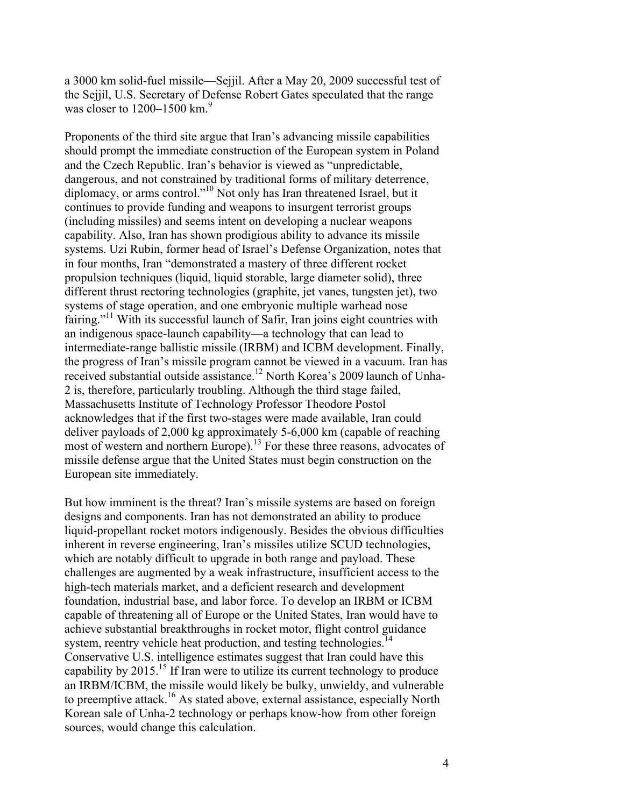a 3000 km solid-fuel missile—Sejjil. After a May 20, 2009 successful test of the Sejjil, U.S. Secretary of Defense Robert Gates speculated that the range was closer to  $1200-1500$  km.<sup>9</sup>

Proponents of the third site argue that Iran's advancing missile capabilities should prompt the immediate construction of the European system in Poland and the Czech Republic. Iran's behavior is viewed as "unpredictable, dangerous, and not constrained by traditional forms of military deterrence, diplomacy, or arms control."10 Not only has Iran threatened Israel, but it continues to provide funding and weapons to insurgent terrorist groups (including missiles) and seems intent on developing a nuclear weapons capability. Also, Iran has shown prodigious ability to advance its missile systems. Uzi Rubin, former head of Israel's Defense Organization, notes that in four months, Iran "demonstrated a mastery of three different rocket propulsion techniques (liquid, liquid storable, large diameter solid), three different thrust rectoring technologies (graphite, jet vanes, tungsten jet), two systems of stage operation, and one embryonic multiple warhead nose fairing."<sup>11</sup> With its successful launch of Safir, Iran joins eight countries with an indigenous space-launch capability—a technology that can lead to intermediate-range ballistic missile (IRBM) and ICBM development. Finally, the progress of Iran's missile program cannot be viewed in a vacuum. Iran has received substantial outside assistance.<sup>12</sup> North Korea's 2009 launch of Unha-2 is, therefore, particularly troubling. Although the third stage failed, Massachusetts Institute of Technology Professor Theodore Postol acknowledges that if the first two-stages were made available, Iran could deliver payloads of 2,000 kg approximately 5-6,000 km (capable of reaching most of western and northern Europe).<sup>13</sup> For these three reasons, advocates of missile defense argue that the United States must begin construction on the European site immediately.

But how imminent is the threat? Iran's missile systems are based on foreign designs and components. Iran has not demonstrated an ability to produce liquid-propellant rocket motors indigenously. Besides the obvious difficulties inherent in reverse engineering, Iran's missiles utilize SCUD technologies, which are notably difficult to upgrade in both range and payload. These challenges are augmented by a weak infrastructure, insufficient access to the high-tech materials market, and a deficient research and development foundation, industrial base, and labor force. To develop an IRBM or ICBM capable of threatening all of Europe or the United States, Iran would have to achieve substantial breakthroughs in rocket motor, flight control guidance system, reentry vehicle heat production, and testing technologies.<sup>14</sup> Conservative U.S. intelligence estimates suggest that Iran could have this capability by 2015.<sup>15</sup> If Iran were to utilize its current technology to produce an IRBM/ICBM, the missile would likely be bulky, unwieldy, and vulnerable to preemptive attack.16 As stated above, external assistance, especially North Korean sale of Unha-2 technology or perhaps know-how from other foreign sources, would change this calculation.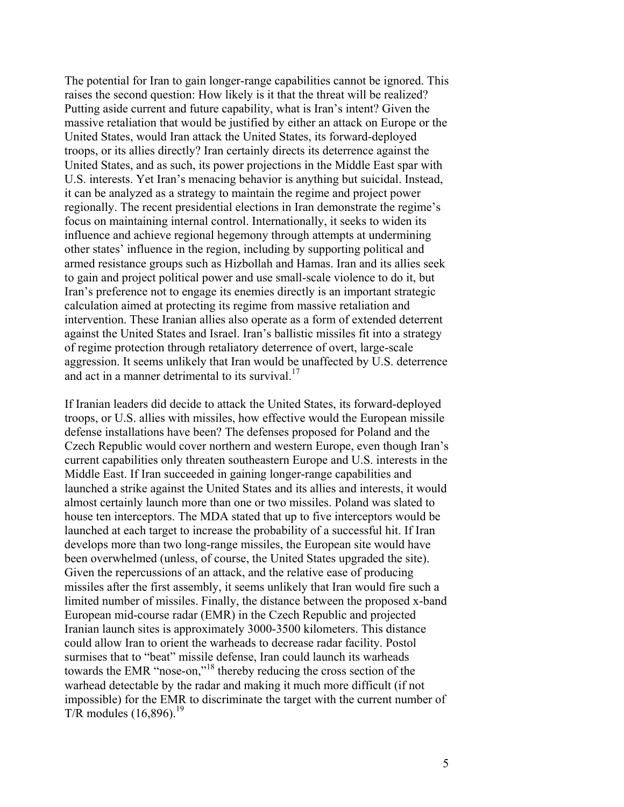The potential for Iran to gain longer-range capabilities cannot be ignored. This raises the second question: How likely is it that the threat will be realized? Putting aside current and future capability, what is Iran's intent? Given the massive retaliation that would be justified by either an attack on Europe or the United States, would Iran attack the United States, its forward-deployed troops, or its allies directly? Iran certainly directs its deterrence against the United States, and as such, its power projections in the Middle East spar with U.S. interests. Yet Iran's menacing behavior is anything but suicidal. Instead, it can be analyzed as a strategy to maintain the regime and project power regionally. The recent presidential elections in Iran demonstrate the regime's focus on maintaining internal control. Internationally, it seeks to widen its influence and achieve regional hegemony through attempts at undermining other states' influence in the region, including by supporting political and armed resistance groups such as Hizbollah and Hamas. Iran and its allies seek to gain and project political power and use small-scale violence to do it, but Iran's preference not to engage its enemies directly is an important strategic calculation aimed at protecting its regime from massive retaliation and intervention. These Iranian allies also operate as a form of extended deterrent against the United States and Israel. Iran's ballistic missiles fit into a strategy of regime protection through retaliatory deterrence of overt, large-scale aggression. It seems unlikely that Iran would be unaffected by U.S. deterrence and act in a manner detrimental to its survival.<sup>17</sup>

If Iranian leaders did decide to attack the United States, its forward-deployed troops, or U.S. allies with missiles, how effective would the European missile defense installations have been? The defenses proposed for Poland and the Czech Republic would cover northern and western Europe, even though Iran's current capabilities only threaten southeastern Europe and U.S. interests in the Middle East. If Iran succeeded in gaining longer-range capabilities and launched a strike against the United States and its allies and interests, it would almost certainly launch more than one or two missiles. Poland was slated to house ten interceptors. The MDA stated that up to five interceptors would be launched at each target to increase the probability of a successful hit. If Iran develops more than two long-range missiles, the European site would have been overwhelmed (unless, of course, the United States upgraded the site). Given the repercussions of an attack, and the relative ease of producing missiles after the first assembly, it seems unlikely that Iran would fire such a limited number of missiles. Finally, the distance between the proposed x-band European mid-course radar (EMR) in the Czech Republic and projected Iranian launch sites is approximately 3000-3500 kilometers. This distance could allow Iran to orient the warheads to decrease radar facility. Postol surmises that to "beat" missile defense, Iran could launch its warheads towards the EMR "nose-on,"18 thereby reducing the cross section of the warhead detectable by the radar and making it much more difficult (if not impossible) for the EMR to discriminate the target with the current number of T/R modules  $(16,896)$ <sup>19</sup>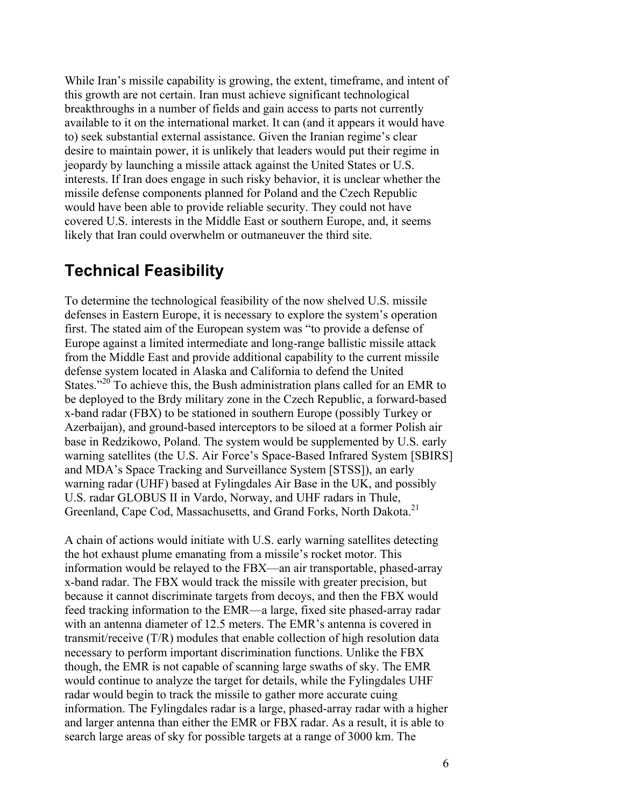While Iran's missile capability is growing, the extent, timeframe, and intent of this growth are not certain. Iran must achieve significant technological breakthroughs in a number of fields and gain access to parts not currently available to it on the international market. It can (and it appears it would have to) seek substantial external assistance. Given the Iranian regime's clear desire to maintain power, it is unlikely that leaders would put their regime in jeopardy by launching a missile attack against the United States or U.S. interests. If Iran does engage in such risky behavior, it is unclear whether the missile defense components planned for Poland and the Czech Republic would have been able to provide reliable security. They could not have covered U.S. interests in the Middle East or southern Europe, and, it seems likely that Iran could overwhelm or outmaneuver the third site.

#### **Technical Feasibility**

To determine the technological feasibility of the now shelved U.S. missile defenses in Eastern Europe, it is necessary to explore the system's operation first. The stated aim of the European system was "to provide a defense of Europe against a limited intermediate and long-range ballistic missile attack from the Middle East and provide additional capability to the current missile defense system located in Alaska and California to defend the United States."<sup>20</sup> To achieve this, the Bush administration plans called for an EMR to be deployed to the Brdy military zone in the Czech Republic, a forward-based x-band radar (FBX) to be stationed in southern Europe (possibly Turkey or Azerbaijan), and ground-based interceptors to be siloed at a former Polish air base in Redzikowo, Poland. The system would be supplemented by U.S. early warning satellites (the U.S. Air Force's Space-Based Infrared System [SBIRS] and MDA's Space Tracking and Surveillance System [STSS]), an early warning radar (UHF) based at Fylingdales Air Base in the UK, and possibly U.S. radar GLOBUS II in Vardo, Norway, and UHF radars in Thule, Greenland, Cape Cod, Massachusetts, and Grand Forks, North Dakota.21

A chain of actions would initiate with U.S. early warning satellites detecting the hot exhaust plume emanating from a missile's rocket motor. This information would be relayed to the FBX—an air transportable, phased-array x-band radar. The FBX would track the missile with greater precision, but because it cannot discriminate targets from decoys, and then the FBX would feed tracking information to the EMR—a large, fixed site phased-array radar with an antenna diameter of 12.5 meters. The EMR's antenna is covered in transmit/receive (T/R) modules that enable collection of high resolution data necessary to perform important discrimination functions. Unlike the FBX though, the EMR is not capable of scanning large swaths of sky. The EMR would continue to analyze the target for details, while the Fylingdales UHF radar would begin to track the missile to gather more accurate cuing information. The Fylingdales radar is a large, phased-array radar with a higher and larger antenna than either the EMR or FBX radar. As a result, it is able to search large areas of sky for possible targets at a range of 3000 km. The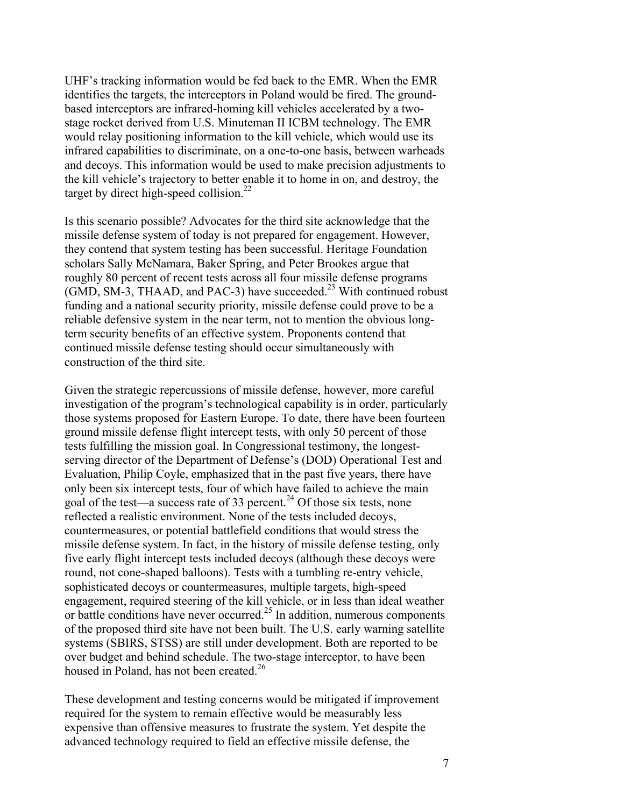UHF's tracking information would be fed back to the EMR. When the EMR identifies the targets, the interceptors in Poland would be fired. The groundbased interceptors are infrared-homing kill vehicles accelerated by a twostage rocket derived from U.S. Minuteman II ICBM technology. The EMR would relay positioning information to the kill vehicle, which would use its infrared capabilities to discriminate, on a one-to-one basis, between warheads and decoys. This information would be used to make precision adjustments to the kill vehicle's trajectory to better enable it to home in on, and destroy, the target by direct high-speed collision.<sup>22</sup>

Is this scenario possible? Advocates for the third site acknowledge that the missile defense system of today is not prepared for engagement. However, they contend that system testing has been successful. Heritage Foundation scholars Sally McNamara, Baker Spring, and Peter Brookes argue that roughly 80 percent of recent tests across all four missile defense programs  $(GMD, SM-3, THAAD, and PAC-3)$  have succeeded.<sup>23</sup> With continued robust funding and a national security priority, missile defense could prove to be a reliable defensive system in the near term, not to mention the obvious longterm security benefits of an effective system. Proponents contend that continued missile defense testing should occur simultaneously with construction of the third site.

Given the strategic repercussions of missile defense, however, more careful investigation of the program's technological capability is in order, particularly those systems proposed for Eastern Europe. To date, there have been fourteen ground missile defense flight intercept tests, with only 50 percent of those tests fulfilling the mission goal. In Congressional testimony, the longestserving director of the Department of Defense's (DOD) Operational Test and Evaluation, Philip Coyle, emphasized that in the past five years, there have only been six intercept tests, four of which have failed to achieve the main goal of the test—a success rate of 33 percent.<sup>24</sup> Of those six tests, none reflected a realistic environment. None of the tests included decoys, countermeasures, or potential battlefield conditions that would stress the missile defense system. In fact, in the history of missile defense testing, only five early flight intercept tests included decoys (although these decoys were round, not cone-shaped balloons). Tests with a tumbling re-entry vehicle, sophisticated decoys or countermeasures, multiple targets, high-speed engagement, required steering of the kill vehicle, or in less than ideal weather or battle conditions have never occurred.<sup>25</sup> In addition, numerous components of the proposed third site have not been built. The U.S. early warning satellite systems (SBIRS, STSS) are still under development. Both are reported to be over budget and behind schedule. The two-stage interceptor, to have been housed in Poland, has not been created.<sup>26</sup>

These development and testing concerns would be mitigated if improvement required for the system to remain effective would be measurably less expensive than offensive measures to frustrate the system. Yet despite the advanced technology required to field an effective missile defense, the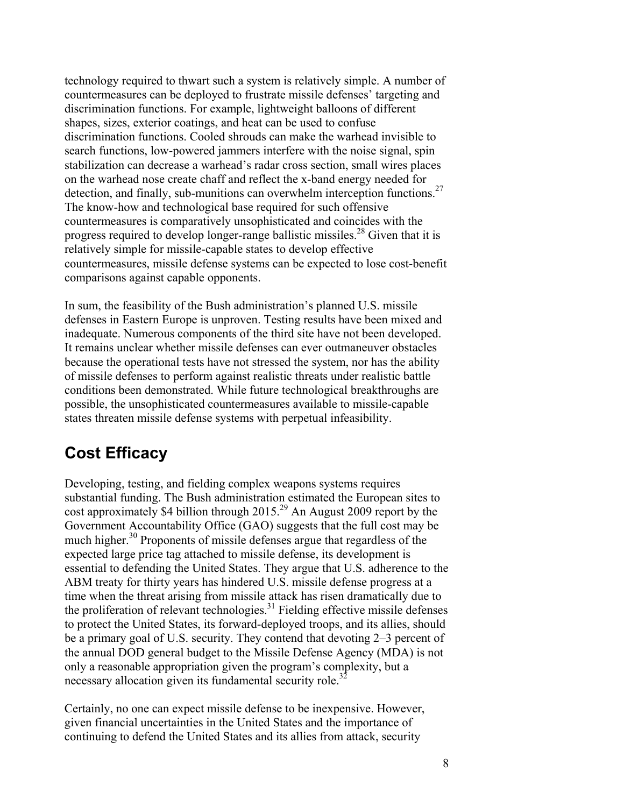technology required to thwart such a system is relatively simple. A number of countermeasures can be deployed to frustrate missile defenses' targeting and discrimination functions. For example, lightweight balloons of different shapes, sizes, exterior coatings, and heat can be used to confuse discrimination functions. Cooled shrouds can make the warhead invisible to search functions, low-powered jammers interfere with the noise signal, spin stabilization can decrease a warhead's radar cross section, small wires places on the warhead nose create chaff and reflect the x-band energy needed for detection, and finally, sub-munitions can overwhelm interception functions.<sup>27</sup> The know-how and technological base required for such offensive countermeasures is comparatively unsophisticated and coincides with the progress required to develop longer-range ballistic missiles.<sup>28</sup> Given that it is relatively simple for missile-capable states to develop effective countermeasures, missile defense systems can be expected to lose cost-benefit comparisons against capable opponents.

In sum, the feasibility of the Bush administration's planned U.S. missile defenses in Eastern Europe is unproven. Testing results have been mixed and inadequate. Numerous components of the third site have not been developed. It remains unclear whether missile defenses can ever outmaneuver obstacles because the operational tests have not stressed the system, nor has the ability of missile defenses to perform against realistic threats under realistic battle conditions been demonstrated. While future technological breakthroughs are possible, the unsophisticated countermeasures available to missile-capable states threaten missile defense systems with perpetual infeasibility.

## **Cost Efficacy**

Developing, testing, and fielding complex weapons systems requires substantial funding. The Bush administration estimated the European sites to cost approximately \$4 billion through  $2015.<sup>29</sup>$  An August 2009 report by the Government Accountability Office (GAO) suggests that the full cost may be much higher.<sup>30</sup> Proponents of missile defenses argue that regardless of the expected large price tag attached to missile defense, its development is essential to defending the United States. They argue that U.S. adherence to the ABM treaty for thirty years has hindered U.S. missile defense progress at a time when the threat arising from missile attack has risen dramatically due to the proliferation of relevant technologies.<sup>31</sup> Fielding effective missile defenses to protect the United States, its forward-deployed troops, and its allies, should be a primary goal of U.S. security. They contend that devoting 2–3 percent of the annual DOD general budget to the Missile Defense Agency (MDA) is not only a reasonable appropriation given the program's complexity, but a necessary allocation given its fundamental security role.<sup>32</sup>

Certainly, no one can expect missile defense to be inexpensive. However, given financial uncertainties in the United States and the importance of continuing to defend the United States and its allies from attack, security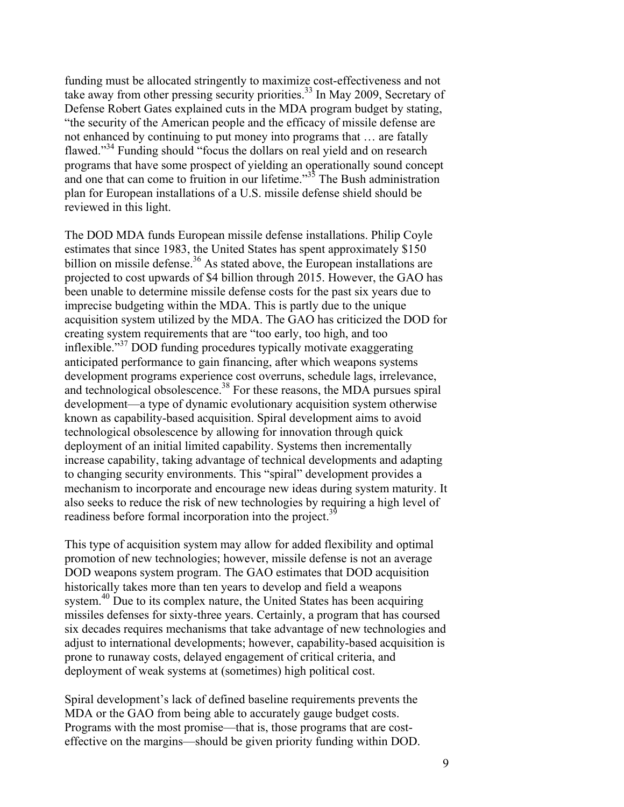funding must be allocated stringently to maximize cost-effectiveness and not take away from other pressing security priorities.<sup>33</sup> In May 2009, Secretary of Defense Robert Gates explained cuts in the MDA program budget by stating, "the security of the American people and the efficacy of missile defense are not enhanced by continuing to put money into programs that … are fatally flawed."<sup>34</sup> Funding should "focus the dollars on real yield and on research programs that have some prospect of yielding an operationally sound concept and one that can come to fruition in our lifetime.<sup>35</sup> The Bush administration plan for European installations of a U.S. missile defense shield should be reviewed in this light.

The DOD MDA funds European missile defense installations. Philip Coyle estimates that since 1983, the United States has spent approximately \$150 billion on missile defense.<sup>36</sup> As stated above, the European installations are projected to cost upwards of \$4 billion through 2015. However, the GAO has been unable to determine missile defense costs for the past six years due to imprecise budgeting within the MDA. This is partly due to the unique acquisition system utilized by the MDA. The GAO has criticized the DOD for creating system requirements that are "too early, too high, and too inflexible."<sup>37</sup> DOD funding procedures typically motivate exaggerating anticipated performance to gain financing, after which weapons systems development programs experience cost overruns, schedule lags, irrelevance, and technological obsolescence.<sup>38</sup> For these reasons, the MDA pursues spiral development—a type of dynamic evolutionary acquisition system otherwise known as capability-based acquisition. Spiral development aims to avoid technological obsolescence by allowing for innovation through quick deployment of an initial limited capability. Systems then incrementally increase capability, taking advantage of technical developments and adapting to changing security environments. This "spiral" development provides a mechanism to incorporate and encourage new ideas during system maturity. It also seeks to reduce the risk of new technologies by requiring a high level of readiness before formal incorporation into the project. $3^{\circ}$ 

This type of acquisition system may allow for added flexibility and optimal promotion of new technologies; however, missile defense is not an average DOD weapons system program. The GAO estimates that DOD acquisition historically takes more than ten years to develop and field a weapons system.<sup>40</sup> Due to its complex nature, the United States has been acquiring missiles defenses for sixty-three years. Certainly, a program that has coursed six decades requires mechanisms that take advantage of new technologies and adjust to international developments; however, capability-based acquisition is prone to runaway costs, delayed engagement of critical criteria, and deployment of weak systems at (sometimes) high political cost.

Spiral development's lack of defined baseline requirements prevents the MDA or the GAO from being able to accurately gauge budget costs. Programs with the most promise—that is, those programs that are costeffective on the margins—should be given priority funding within DOD.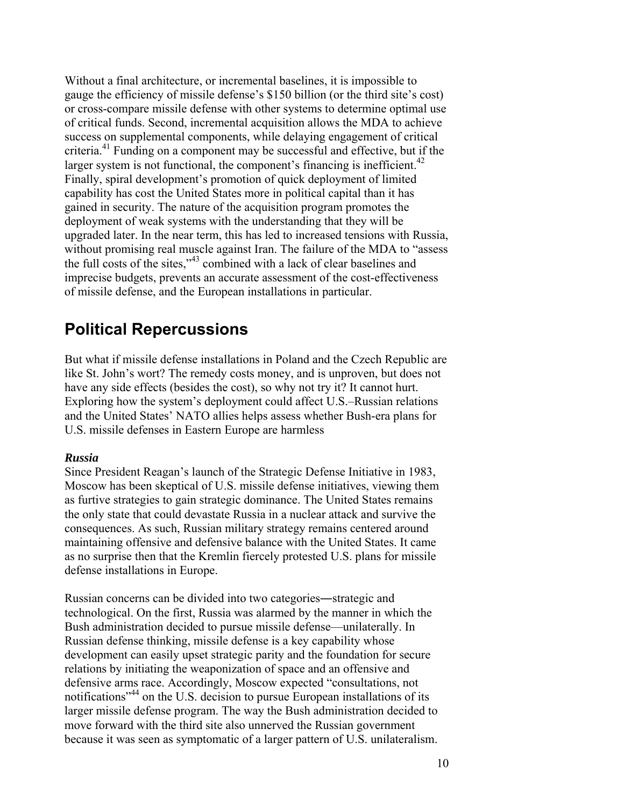Without a final architecture, or incremental baselines, it is impossible to gauge the efficiency of missile defense's \$150 billion (or the third site's cost) or cross-compare missile defense with other systems to determine optimal use of critical funds. Second, incremental acquisition allows the MDA to achieve success on supplemental components, while delaying engagement of critical criteria.41 Funding on a component may be successful and effective, but if the larger system is not functional, the component's financing is inefficient.<sup>42</sup> Finally, spiral development's promotion of quick deployment of limited capability has cost the United States more in political capital than it has gained in security. The nature of the acquisition program promotes the deployment of weak systems with the understanding that they will be upgraded later. In the near term, this has led to increased tensions with Russia, without promising real muscle against Iran. The failure of the MDA to "assess" the full costs of the sites,"43 combined with a lack of clear baselines and imprecise budgets, prevents an accurate assessment of the cost-effectiveness of missile defense, and the European installations in particular.

#### **Political Repercussions**

But what if missile defense installations in Poland and the Czech Republic are like St. John's wort? The remedy costs money, and is unproven, but does not have any side effects (besides the cost), so why not try it? It cannot hurt. Exploring how the system's deployment could affect U.S.–Russian relations and the United States' NATO allies helps assess whether Bush-era plans for U.S. missile defenses in Eastern Europe are harmless

#### *Russia*

Since President Reagan's launch of the Strategic Defense Initiative in 1983, Moscow has been skeptical of U.S. missile defense initiatives, viewing them as furtive strategies to gain strategic dominance. The United States remains the only state that could devastate Russia in a nuclear attack and survive the consequences. As such, Russian military strategy remains centered around maintaining offensive and defensive balance with the United States. It came as no surprise then that the Kremlin fiercely protested U.S. plans for missile defense installations in Europe.

Russian concerns can be divided into two categories―strategic and technological. On the first, Russia was alarmed by the manner in which the Bush administration decided to pursue missile defense—unilaterally. In Russian defense thinking, missile defense is a key capability whose development can easily upset strategic parity and the foundation for secure relations by initiating the weaponization of space and an offensive and defensive arms race. Accordingly, Moscow expected "consultations, not notifications"44 on the U.S. decision to pursue European installations of its larger missile defense program. The way the Bush administration decided to move forward with the third site also unnerved the Russian government because it was seen as symptomatic of a larger pattern of U.S. unilateralism.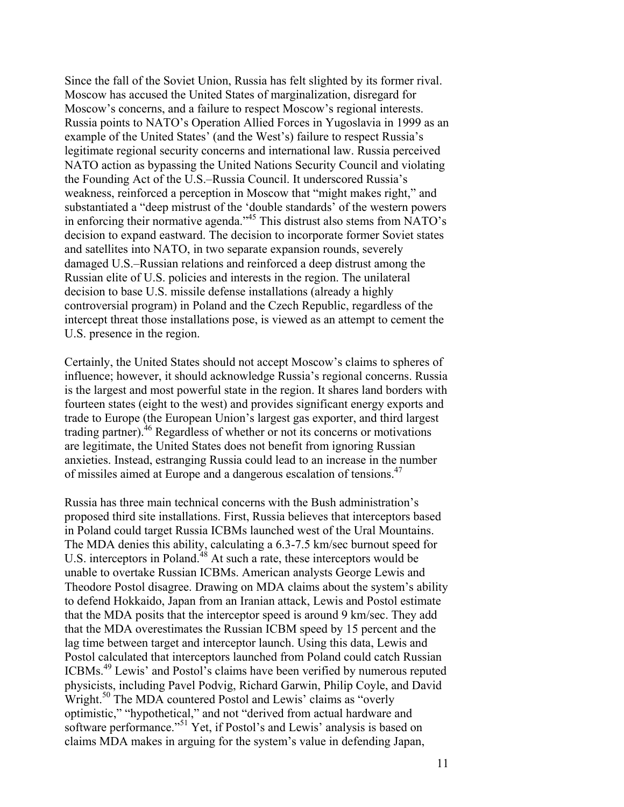Since the fall of the Soviet Union, Russia has felt slighted by its former rival. Moscow has accused the United States of marginalization, disregard for Moscow's concerns, and a failure to respect Moscow's regional interests. Russia points to NATO's Operation Allied Forces in Yugoslavia in 1999 as an example of the United States' (and the West's) failure to respect Russia's legitimate regional security concerns and international law. Russia perceived NATO action as bypassing the United Nations Security Council and violating the Founding Act of the U.S.–Russia Council. It underscored Russia's weakness, reinforced a perception in Moscow that "might makes right," and substantiated a "deep mistrust of the 'double standards' of the western powers in enforcing their normative agenda."45 This distrust also stems from NATO's decision to expand eastward. The decision to incorporate former Soviet states and satellites into NATO, in two separate expansion rounds, severely damaged U.S.–Russian relations and reinforced a deep distrust among the Russian elite of U.S. policies and interests in the region. The unilateral decision to base U.S. missile defense installations (already a highly controversial program) in Poland and the Czech Republic, regardless of the intercept threat those installations pose, is viewed as an attempt to cement the U.S. presence in the region.

Certainly, the United States should not accept Moscow's claims to spheres of influence; however, it should acknowledge Russia's regional concerns. Russia is the largest and most powerful state in the region. It shares land borders with fourteen states (eight to the west) and provides significant energy exports and trade to Europe (the European Union's largest gas exporter, and third largest trading partner).46 Regardless of whether or not its concerns or motivations are legitimate, the United States does not benefit from ignoring Russian anxieties. Instead, estranging Russia could lead to an increase in the number of missiles aimed at Europe and a dangerous escalation of tensions.<sup>47</sup>

Russia has three main technical concerns with the Bush administration's proposed third site installations. First, Russia believes that interceptors based in Poland could target Russia ICBMs launched west of the Ural Mountains. The MDA denies this ability, calculating a 6.3-7.5 km/sec burnout speed for U.S. interceptors in Poland.<sup>48</sup> At such a rate, these interceptors would be unable to overtake Russian ICBMs. American analysts George Lewis and Theodore Postol disagree. Drawing on MDA claims about the system's ability to defend Hokkaido, Japan from an Iranian attack, Lewis and Postol estimate that the MDA posits that the interceptor speed is around 9 km/sec. They add that the MDA overestimates the Russian ICBM speed by 15 percent and the lag time between target and interceptor launch. Using this data, Lewis and Postol calculated that interceptors launched from Poland could catch Russian ICBMs.49 Lewis' and Postol's claims have been verified by numerous reputed physicists, including Pavel Podvig, Richard Garwin, Philip Coyle, and David Wright.<sup>50</sup> The MDA countered Postol and Lewis' claims as "overly optimistic," "hypothetical," and not "derived from actual hardware and software performance."<sup>51</sup> Yet, if Postol's and Lewis' analysis is based on claims MDA makes in arguing for the system's value in defending Japan,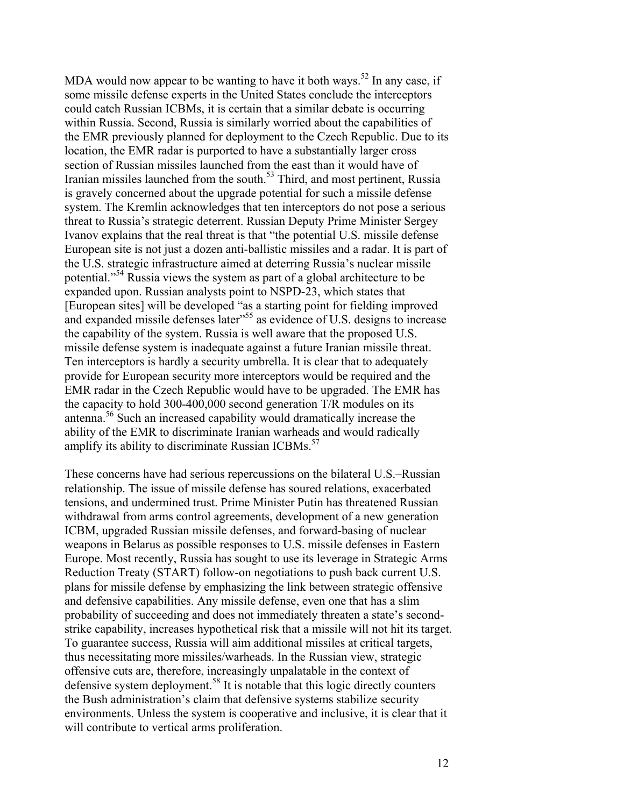MDA would now appear to be wanting to have it both ways.<sup>52</sup> In any case, if some missile defense experts in the United States conclude the interceptors could catch Russian ICBMs, it is certain that a similar debate is occurring within Russia. Second, Russia is similarly worried about the capabilities of the EMR previously planned for deployment to the Czech Republic. Due to its location, the EMR radar is purported to have a substantially larger cross section of Russian missiles launched from the east than it would have of Iranian missiles launched from the south.<sup>53</sup> Third, and most pertinent, Russia is gravely concerned about the upgrade potential for such a missile defense system. The Kremlin acknowledges that ten interceptors do not pose a serious threat to Russia's strategic deterrent. Russian Deputy Prime Minister Sergey Ivanov explains that the real threat is that "the potential U.S. missile defense European site is not just a dozen anti-ballistic missiles and a radar. It is part of the U.S. strategic infrastructure aimed at deterring Russia's nuclear missile potential."54 Russia views the system as part of a global architecture to be expanded upon. Russian analysts point to NSPD-23, which states that [European sites] will be developed "as a starting point for fielding improved and expanded missile defenses later<sup>55</sup> as evidence of U.S. designs to increase the capability of the system. Russia is well aware that the proposed U.S. missile defense system is inadequate against a future Iranian missile threat. Ten interceptors is hardly a security umbrella. It is clear that to adequately provide for European security more interceptors would be required and the EMR radar in the Czech Republic would have to be upgraded. The EMR has the capacity to hold 300-400,000 second generation T/R modules on its antenna.56 Such an increased capability would dramatically increase the ability of the EMR to discriminate Iranian warheads and would radically amplify its ability to discriminate Russian ICBMs. $57$ 

These concerns have had serious repercussions on the bilateral U.S.–Russian relationship. The issue of missile defense has soured relations, exacerbated tensions, and undermined trust. Prime Minister Putin has threatened Russian withdrawal from arms control agreements, development of a new generation ICBM, upgraded Russian missile defenses, and forward-basing of nuclear weapons in Belarus as possible responses to U.S. missile defenses in Eastern Europe. Most recently, Russia has sought to use its leverage in Strategic Arms Reduction Treaty (START) follow-on negotiations to push back current U.S. plans for missile defense by emphasizing the link between strategic offensive and defensive capabilities. Any missile defense, even one that has a slim probability of succeeding and does not immediately threaten a state's secondstrike capability, increases hypothetical risk that a missile will not hit its target. To guarantee success, Russia will aim additional missiles at critical targets, thus necessitating more missiles/warheads. In the Russian view, strategic offensive cuts are, therefore, increasingly unpalatable in the context of defensive system deployment.<sup>58</sup> It is notable that this logic directly counters the Bush administration's claim that defensive systems stabilize security environments. Unless the system is cooperative and inclusive, it is clear that it will contribute to vertical arms proliferation.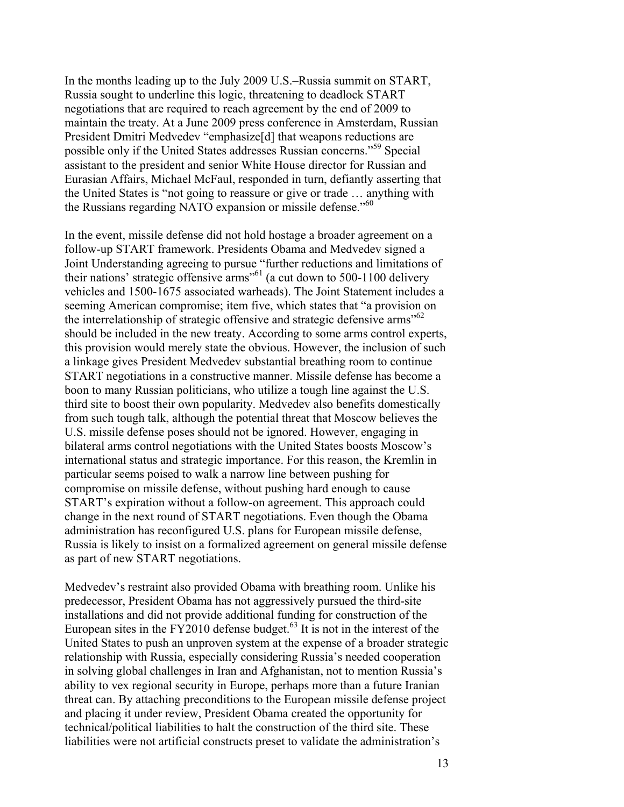In the months leading up to the July 2009 U.S.–Russia summit on START, Russia sought to underline this logic, threatening to deadlock START negotiations that are required to reach agreement by the end of 2009 to maintain the treaty. At a June 2009 press conference in Amsterdam, Russian President Dmitri Medvedev "emphasize[d] that weapons reductions are possible only if the United States addresses Russian concerns."59 Special assistant to the president and senior White House director for Russian and Eurasian Affairs, Michael McFaul, responded in turn, defiantly asserting that the United States is "not going to reassure or give or trade … anything with the Russians regarding NATO expansion or missile defense."<sup>60</sup>

In the event, missile defense did not hold hostage a broader agreement on a follow-up START framework. Presidents Obama and Medvedev signed a Joint Understanding agreeing to pursue "further reductions and limitations of their nations' strategic offensive arms<sup> $50$ </sup> (a cut down to 500-1100 delivery vehicles and 1500-1675 associated warheads). The Joint Statement includes a seeming American compromise; item five, which states that "a provision on the interrelationship of strategic offensive and strategic defensive arms<sup>"62</sup> should be included in the new treaty. According to some arms control experts, this provision would merely state the obvious. However, the inclusion of such a linkage gives President Medvedev substantial breathing room to continue START negotiations in a constructive manner. Missile defense has become a boon to many Russian politicians, who utilize a tough line against the U.S. third site to boost their own popularity. Medvedev also benefits domestically from such tough talk, although the potential threat that Moscow believes the U.S. missile defense poses should not be ignored. However, engaging in bilateral arms control negotiations with the United States boosts Moscow's international status and strategic importance. For this reason, the Kremlin in particular seems poised to walk a narrow line between pushing for compromise on missile defense, without pushing hard enough to cause START's expiration without a follow-on agreement. This approach could change in the next round of START negotiations. Even though the Obama administration has reconfigured U.S. plans for European missile defense, Russia is likely to insist on a formalized agreement on general missile defense as part of new START negotiations.

Medvedev's restraint also provided Obama with breathing room. Unlike his predecessor, President Obama has not aggressively pursued the third-site installations and did not provide additional funding for construction of the European sites in the FY2010 defense budget.<sup>63</sup> It is not in the interest of the United States to push an unproven system at the expense of a broader strategic relationship with Russia, especially considering Russia's needed cooperation in solving global challenges in Iran and Afghanistan, not to mention Russia's ability to vex regional security in Europe, perhaps more than a future Iranian threat can. By attaching preconditions to the European missile defense project and placing it under review, President Obama created the opportunity for technical/political liabilities to halt the construction of the third site. These liabilities were not artificial constructs preset to validate the administration's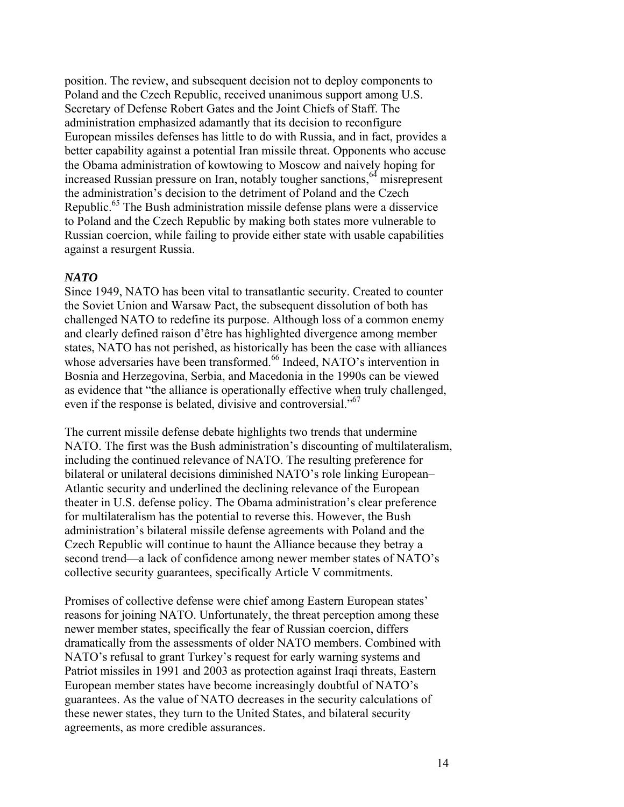position. The review, and subsequent decision not to deploy components to Poland and the Czech Republic, received unanimous support among U.S. Secretary of Defense Robert Gates and the Joint Chiefs of Staff. The administration emphasized adamantly that its decision to reconfigure European missiles defenses has little to do with Russia, and in fact, provides a better capability against a potential Iran missile threat. Opponents who accuse the Obama administration of kowtowing to Moscow and naively hoping for increased Russian pressure on Iran, notably tougher sanctions,  $64$  misrepresent the administration's decision to the detriment of Poland and the Czech Republic.<sup>65</sup> The Bush administration missile defense plans were a disservice to Poland and the Czech Republic by making both states more vulnerable to Russian coercion, while failing to provide either state with usable capabilities against a resurgent Russia.

#### *NATO*

Since 1949, NATO has been vital to transatlantic security. Created to counter the Soviet Union and Warsaw Pact, the subsequent dissolution of both has challenged NATO to redefine its purpose. Although loss of a common enemy and clearly defined raison d'être has highlighted divergence among member states, NATO has not perished, as historically has been the case with alliances whose adversaries have been transformed.<sup>66</sup> Indeed, NATO's intervention in Bosnia and Herzegovina, Serbia, and Macedonia in the 1990s can be viewed as evidence that "the alliance is operationally effective when truly challenged, even if the response is belated, divisive and controversial."<sup>67</sup>

The current missile defense debate highlights two trends that undermine NATO. The first was the Bush administration's discounting of multilateralism, including the continued relevance of NATO. The resulting preference for bilateral or unilateral decisions diminished NATO's role linking European– Atlantic security and underlined the declining relevance of the European theater in U.S. defense policy. The Obama administration's clear preference for multilateralism has the potential to reverse this. However, the Bush administration's bilateral missile defense agreements with Poland and the Czech Republic will continue to haunt the Alliance because they betray a second trend—a lack of confidence among newer member states of NATO's collective security guarantees, specifically Article V commitments.

Promises of collective defense were chief among Eastern European states' reasons for joining NATO. Unfortunately, the threat perception among these newer member states, specifically the fear of Russian coercion, differs dramatically from the assessments of older NATO members. Combined with NATO's refusal to grant Turkey's request for early warning systems and Patriot missiles in 1991 and 2003 as protection against Iraqi threats, Eastern European member states have become increasingly doubtful of NATO's guarantees. As the value of NATO decreases in the security calculations of these newer states, they turn to the United States, and bilateral security agreements, as more credible assurances.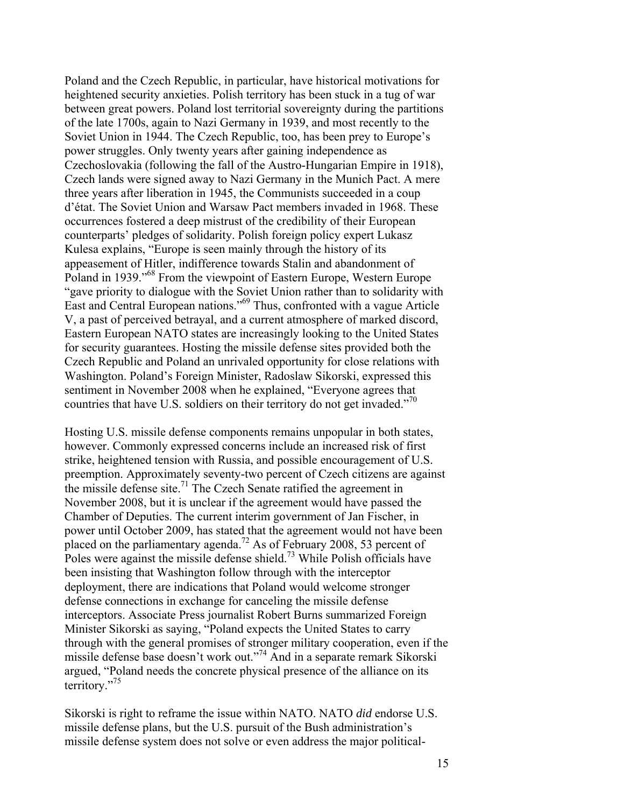Poland and the Czech Republic, in particular, have historical motivations for heightened security anxieties. Polish territory has been stuck in a tug of war between great powers. Poland lost territorial sovereignty during the partitions of the late 1700s, again to Nazi Germany in 1939, and most recently to the Soviet Union in 1944. The Czech Republic, too, has been prey to Europe's power struggles. Only twenty years after gaining independence as Czechoslovakia (following the fall of the Austro-Hungarian Empire in 1918), Czech lands were signed away to Nazi Germany in the Munich Pact. A mere three years after liberation in 1945, the Communists succeeded in a coup d'état. The Soviet Union and Warsaw Pact members invaded in 1968. These occurrences fostered a deep mistrust of the credibility of their European counterparts' pledges of solidarity. Polish foreign policy expert Lukasz Kulesa explains, "Europe is seen mainly through the history of its appeasement of Hitler, indifference towards Stalin and abandonment of Poland in 1939."68 From the viewpoint of Eastern Europe, Western Europe "gave priority to dialogue with the Soviet Union rather than to solidarity with East and Central European nations."69 Thus, confronted with a vague Article V, a past of perceived betrayal, and a current atmosphere of marked discord, Eastern European NATO states are increasingly looking to the United States for security guarantees. Hosting the missile defense sites provided both the Czech Republic and Poland an unrivaled opportunity for close relations with Washington. Poland's Foreign Minister, Radoslaw Sikorski, expressed this sentiment in November 2008 when he explained, "Everyone agrees that countries that have U.S. soldiers on their territory do not get invaded."<sup>70</sup>

Hosting U.S. missile defense components remains unpopular in both states, however. Commonly expressed concerns include an increased risk of first strike, heightened tension with Russia, and possible encouragement of U.S. preemption. Approximately seventy-two percent of Czech citizens are against the missile defense site.<sup>71</sup> The Czech Senate ratified the agreement in November 2008, but it is unclear if the agreement would have passed the Chamber of Deputies. The current interim government of Jan Fischer, in power until October 2009, has stated that the agreement would not have been placed on the parliamentary agenda.<sup>72</sup> As of February 2008, 53 percent of Poles were against the missile defense shield.<sup>73</sup> While Polish officials have been insisting that Washington follow through with the interceptor deployment, there are indications that Poland would welcome stronger defense connections in exchange for canceling the missile defense interceptors. Associate Press journalist Robert Burns summarized Foreign Minister Sikorski as saying, "Poland expects the United States to carry through with the general promises of stronger military cooperation, even if the missile defense base doesn't work out."74 And in a separate remark Sikorski argued, "Poland needs the concrete physical presence of the alliance on its territory."75

Sikorski is right to reframe the issue within NATO. NATO *did* endorse U.S. missile defense plans, but the U.S. pursuit of the Bush administration's missile defense system does not solve or even address the major political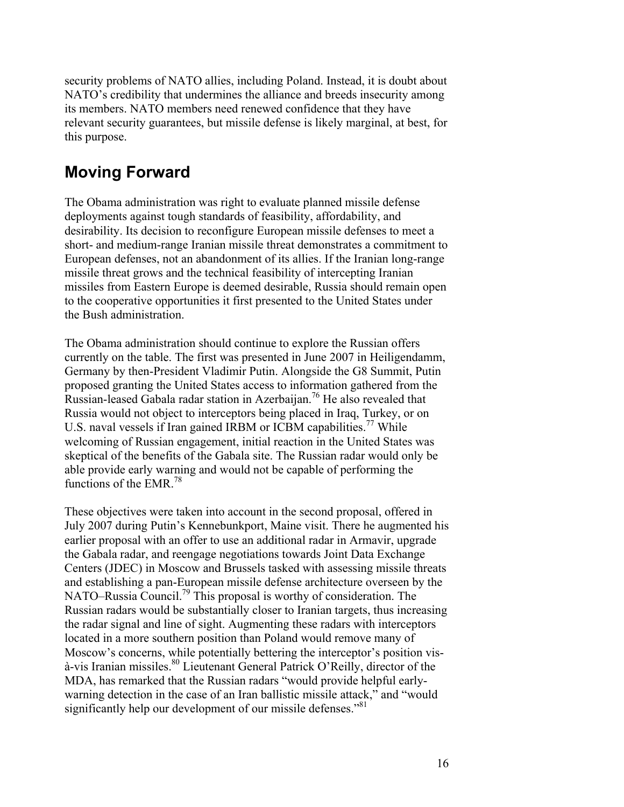security problems of NATO allies, including Poland. Instead, it is doubt about NATO's credibility that undermines the alliance and breeds insecurity among its members. NATO members need renewed confidence that they have relevant security guarantees, but missile defense is likely marginal, at best, for this purpose.

## **Moving Forward**

The Obama administration was right to evaluate planned missile defense deployments against tough standards of feasibility, affordability, and desirability. Its decision to reconfigure European missile defenses to meet a short- and medium-range Iranian missile threat demonstrates a commitment to European defenses, not an abandonment of its allies. If the Iranian long-range missile threat grows and the technical feasibility of intercepting Iranian missiles from Eastern Europe is deemed desirable, Russia should remain open to the cooperative opportunities it first presented to the United States under the Bush administration.

The Obama administration should continue to explore the Russian offers currently on the table. The first was presented in June 2007 in Heiligendamm, Germany by then-President Vladimir Putin. Alongside the G8 Summit, Putin proposed granting the United States access to information gathered from the Russian-leased Gabala radar station in Azerbaijan.<sup>76</sup> He also revealed that Russia would not object to interceptors being placed in Iraq, Turkey, or on U.S. naval vessels if Iran gained IRBM or ICBM capabilities.<sup>77</sup> While welcoming of Russian engagement, initial reaction in the United States was skeptical of the benefits of the Gabala site. The Russian radar would only be able provide early warning and would not be capable of performing the functions of the EMR.78

These objectives were taken into account in the second proposal, offered in July 2007 during Putin's Kennebunkport, Maine visit. There he augmented his earlier proposal with an offer to use an additional radar in Armavir, upgrade the Gabala radar, and reengage negotiations towards Joint Data Exchange Centers (JDEC) in Moscow and Brussels tasked with assessing missile threats and establishing a pan-European missile defense architecture overseen by the NATO–Russia Council.<sup>79</sup> This proposal is worthy of consideration. The Russian radars would be substantially closer to Iranian targets, thus increasing the radar signal and line of sight. Augmenting these radars with interceptors located in a more southern position than Poland would remove many of Moscow's concerns, while potentially bettering the interceptor's position vis- $\alpha$ -vis Iranian missiles.<sup>80</sup> Lieutenant General Patrick O'Reilly, director of the MDA, has remarked that the Russian radars "would provide helpful earlywarning detection in the case of an Iran ballistic missile attack," and "would significantly help our development of our missile defenses."<sup>81</sup>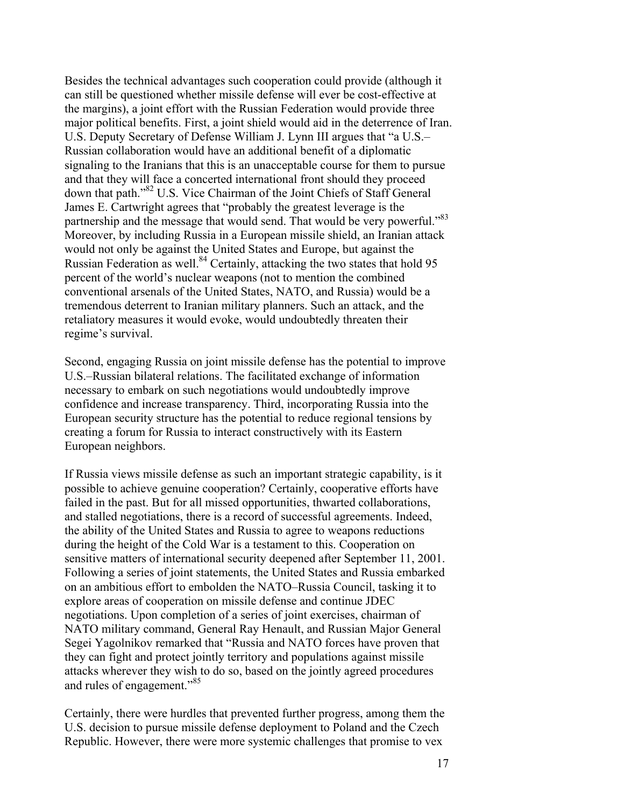Besides the technical advantages such cooperation could provide (although it can still be questioned whether missile defense will ever be cost-effective at the margins), a joint effort with the Russian Federation would provide three major political benefits. First, a joint shield would aid in the deterrence of Iran. U.S. Deputy Secretary of Defense William J. Lynn III argues that "a U.S.– Russian collaboration would have an additional benefit of a diplomatic signaling to the Iranians that this is an unacceptable course for them to pursue and that they will face a concerted international front should they proceed down that path."82 U.S. Vice Chairman of the Joint Chiefs of Staff General James E. Cartwright agrees that "probably the greatest leverage is the partnership and the message that would send. That would be very powerful."83 Moreover, by including Russia in a European missile shield, an Iranian attack would not only be against the United States and Europe, but against the Russian Federation as well.<sup>84</sup> Certainly, attacking the two states that hold 95 percent of the world's nuclear weapons (not to mention the combined conventional arsenals of the United States, NATO, and Russia) would be a tremendous deterrent to Iranian military planners. Such an attack, and the retaliatory measures it would evoke, would undoubtedly threaten their regime's survival.

Second, engaging Russia on joint missile defense has the potential to improve U.S.–Russian bilateral relations. The facilitated exchange of information necessary to embark on such negotiations would undoubtedly improve confidence and increase transparency. Third, incorporating Russia into the European security structure has the potential to reduce regional tensions by creating a forum for Russia to interact constructively with its Eastern European neighbors.

If Russia views missile defense as such an important strategic capability, is it possible to achieve genuine cooperation? Certainly, cooperative efforts have failed in the past. But for all missed opportunities, thwarted collaborations, and stalled negotiations, there is a record of successful agreements. Indeed, the ability of the United States and Russia to agree to weapons reductions during the height of the Cold War is a testament to this. Cooperation on sensitive matters of international security deepened after September 11, 2001. Following a series of joint statements, the United States and Russia embarked on an ambitious effort to embolden the NATO–Russia Council, tasking it to explore areas of cooperation on missile defense and continue JDEC negotiations. Upon completion of a series of joint exercises, chairman of NATO military command, General Ray Henault, and Russian Major General Segei Yagolnikov remarked that "Russia and NATO forces have proven that they can fight and protect jointly territory and populations against missile attacks wherever they wish to do so, based on the jointly agreed procedures and rules of engagement."85

Certainly, there were hurdles that prevented further progress, among them the U.S. decision to pursue missile defense deployment to Poland and the Czech Republic. However, there were more systemic challenges that promise to vex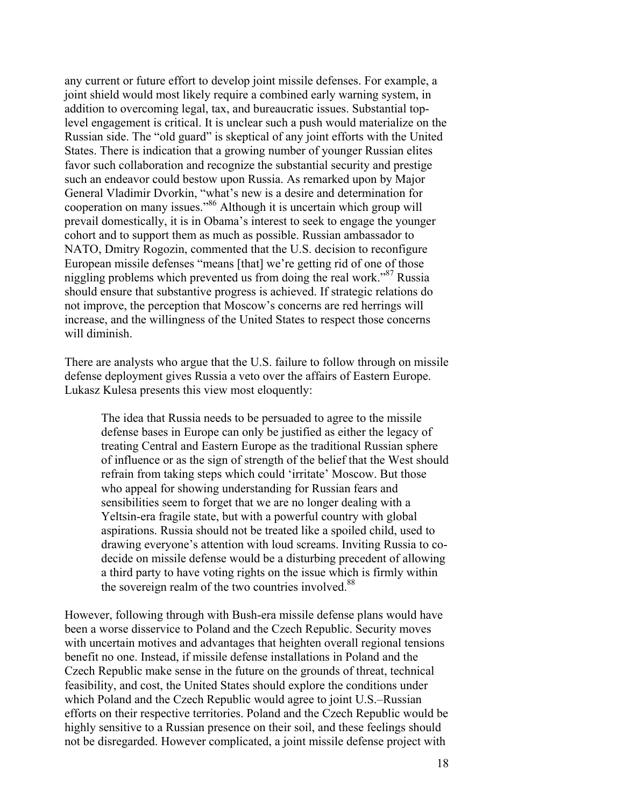any current or future effort to develop joint missile defenses. For example, a joint shield would most likely require a combined early warning system, in addition to overcoming legal, tax, and bureaucratic issues. Substantial toplevel engagement is critical. It is unclear such a push would materialize on the Russian side. The "old guard" is skeptical of any joint efforts with the United States. There is indication that a growing number of younger Russian elites favor such collaboration and recognize the substantial security and prestige such an endeavor could bestow upon Russia. As remarked upon by Major General Vladimir Dvorkin, "what's new is a desire and determination for cooperation on many issues."86 Although it is uncertain which group will prevail domestically, it is in Obama's interest to seek to engage the younger cohort and to support them as much as possible. Russian ambassador to NATO, Dmitry Rogozin, commented that the U.S. decision to reconfigure European missile defenses "means [that] we're getting rid of one of those niggling problems which prevented us from doing the real work.<sup>387</sup> Russia should ensure that substantive progress is achieved. If strategic relations do not improve, the perception that Moscow's concerns are red herrings will increase, and the willingness of the United States to respect those concerns will diminish.

There are analysts who argue that the U.S. failure to follow through on missile defense deployment gives Russia a veto over the affairs of Eastern Europe. Lukasz Kulesa presents this view most eloquently:

The idea that Russia needs to be persuaded to agree to the missile defense bases in Europe can only be justified as either the legacy of treating Central and Eastern Europe as the traditional Russian sphere of influence or as the sign of strength of the belief that the West should refrain from taking steps which could 'irritate' Moscow. But those who appeal for showing understanding for Russian fears and sensibilities seem to forget that we are no longer dealing with a Yeltsin-era fragile state, but with a powerful country with global aspirations. Russia should not be treated like a spoiled child, used to drawing everyone's attention with loud screams. Inviting Russia to codecide on missile defense would be a disturbing precedent of allowing a third party to have voting rights on the issue which is firmly within the sovereign realm of the two countries involved.<sup>88</sup>

However, following through with Bush-era missile defense plans would have been a worse disservice to Poland and the Czech Republic. Security moves with uncertain motives and advantages that heighten overall regional tensions benefit no one. Instead, if missile defense installations in Poland and the Czech Republic make sense in the future on the grounds of threat, technical feasibility, and cost, the United States should explore the conditions under which Poland and the Czech Republic would agree to joint U.S.–Russian efforts on their respective territories. Poland and the Czech Republic would be highly sensitive to a Russian presence on their soil, and these feelings should not be disregarded. However complicated, a joint missile defense project with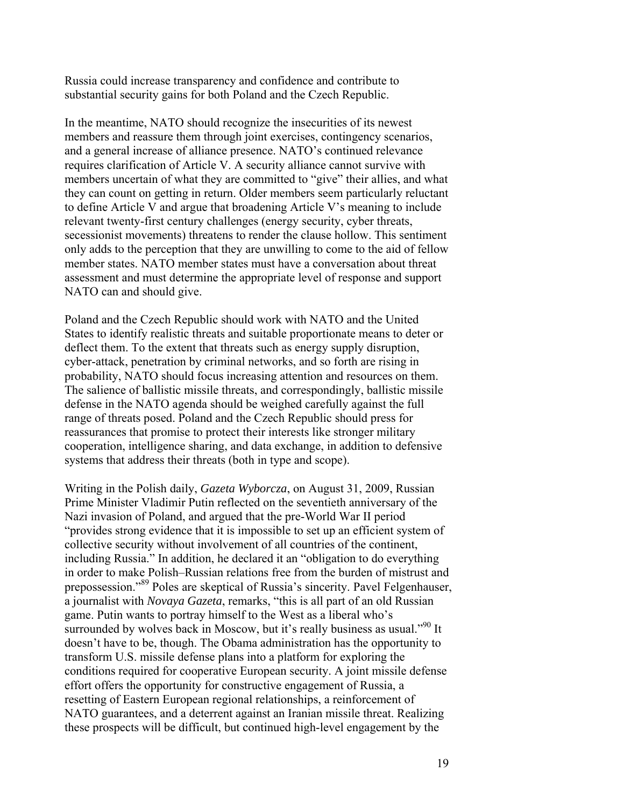Russia could increase transparency and confidence and contribute to substantial security gains for both Poland and the Czech Republic.

In the meantime, NATO should recognize the insecurities of its newest members and reassure them through joint exercises, contingency scenarios, and a general increase of alliance presence. NATO's continued relevance requires clarification of Article V. A security alliance cannot survive with members uncertain of what they are committed to "give" their allies, and what they can count on getting in return. Older members seem particularly reluctant to define Article V and argue that broadening Article V's meaning to include relevant twenty-first century challenges (energy security, cyber threats, secessionist movements) threatens to render the clause hollow. This sentiment only adds to the perception that they are unwilling to come to the aid of fellow member states. NATO member states must have a conversation about threat assessment and must determine the appropriate level of response and support NATO can and should give.

Poland and the Czech Republic should work with NATO and the United States to identify realistic threats and suitable proportionate means to deter or deflect them. To the extent that threats such as energy supply disruption, cyber-attack, penetration by criminal networks, and so forth are rising in probability, NATO should focus increasing attention and resources on them. The salience of ballistic missile threats, and correspondingly, ballistic missile defense in the NATO agenda should be weighed carefully against the full range of threats posed. Poland and the Czech Republic should press for reassurances that promise to protect their interests like stronger military cooperation, intelligence sharing, and data exchange, in addition to defensive systems that address their threats (both in type and scope).

Writing in the Polish daily, *Gazeta Wyborcza*, on August 31, 2009, Russian Prime Minister Vladimir Putin reflected on the seventieth anniversary of the Nazi invasion of Poland, and argued that the pre-World War II period "provides strong evidence that it is impossible to set up an efficient system of collective security without involvement of all countries of the continent, including Russia." In addition, he declared it an "obligation to do everything in order to make Polish–Russian relations free from the burden of mistrust and prepossession."89 Poles are skeptical of Russia's sincerity. Pavel Felgenhauser, a journalist with *Novaya Gazeta*, remarks, "this is all part of an old Russian game. Putin wants to portray himself to the West as a liberal who's surrounded by wolves back in Moscow, but it's really business as usual."<sup>90</sup> It doesn't have to be, though. The Obama administration has the opportunity to transform U.S. missile defense plans into a platform for exploring the conditions required for cooperative European security. A joint missile defense effort offers the opportunity for constructive engagement of Russia, a resetting of Eastern European regional relationships, a reinforcement of NATO guarantees, and a deterrent against an Iranian missile threat. Realizing these prospects will be difficult, but continued high-level engagement by the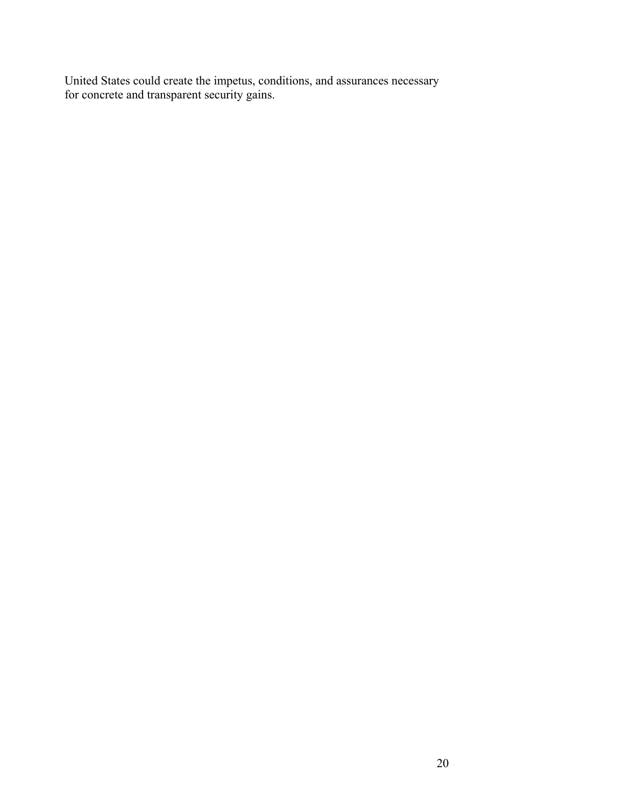United States could create the impetus, conditions, and assurances necessary for concrete and transparent security gains.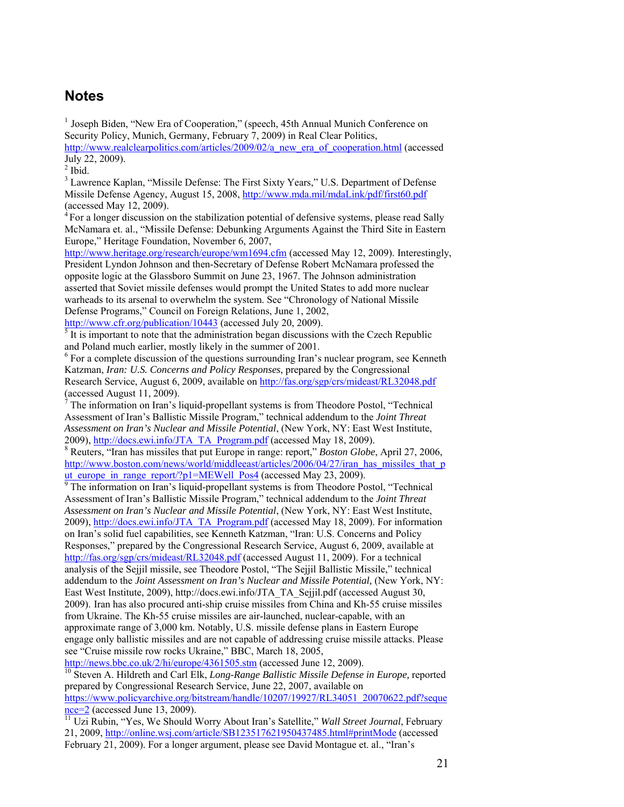#### **Notes**

<sup>1</sup> Joseph Biden, "New Era of Cooperation," (speech, 45th Annual Munich Conference on Security Policy, Munich, Germany, February 7, 2009) in Real Clear Politics,

http://www.realclearpolitics.com/articles/2009/02/a\_new\_era\_of\_cooperation.html (accessed July 22, 2009).

 $<sup>2</sup>$  Ibid.</sup>

<sup>3</sup> Lawrence Kaplan, "Missile Defense: The First Sixty Years," U.S. Department of Defense Missile Defense Agency, August 15, 2008, http://www.mda.mil/mdaLink/pdf/first60.pdf (accessed May 12, 2009).

 $4$  For a longer discussion on the stabilization potential of defensive systems, please read Sally McNamara et. al., "Missile Defense: Debunking Arguments Against the Third Site in Eastern Europe," Heritage Foundation, November 6, 2007,

http://www.heritage.org/research/europe/wm1694.cfm (accessed May 12, 2009). Interestingly, President Lyndon Johnson and then-Secretary of Defense Robert McNamara professed the opposite logic at the Glassboro Summit on June 23, 1967. The Johnson administration asserted that Soviet missile defenses would prompt the United States to add more nuclear warheads to its arsenal to overwhelm the system. See "Chronology of National Missile Defense Programs," Council on Foreign Relations, June 1, 2002,

http://www.cfr.org/publication/10443 (accessed July 20, 2009).

 $\frac{1}{2}$  It is important to note that the administration began discussions with the Czech Republic and Poland much earlier, mostly likely in the summer of 2001.

<sup>6</sup> For a complete discussion of the questions surrounding Iran's nuclear program, see Kenneth Katzman, *Iran: U.S. Concerns and Policy Responses*, prepared by the Congressional Research Service, August 6, 2009, available on http://fas.org/sgp/crs/mideast/RL32048.pdf (accessed August 11, 2009).

 $<sup>7</sup>$  The information on Iran's liquid-propellant systems is from Theodore Postol, "Technical</sup> Assessment of Iran's Ballistic Missile Program," technical addendum to the *Joint Threat Assessment on Iran's Nuclear and Missile Potential*, (New York, NY: East West Institute, 2009), http://docs.ewi.info/JTA\_TA\_Program.pdf (accessed May 18, 2009).

 Reuters, "Iran has missiles that put Europe in range: report," *Boston Globe*, April 27, 2006, http://www.boston.com/news/world/middleeast/articles/2006/04/27/iran\_has\_missiles\_that\_p ut europe in range report/?p1=MEWell Pos4 (accessed May 23, 2009).

<sup>9</sup> The information on Iran's liquid-propellant systems is from Theodore Postol, "Technical Assessment of Iran's Ballistic Missile Program," technical addendum to the *Joint Threat Assessment on Iran's Nuclear and Missile Potential*, (New York, NY: East West Institute, 2009), http://docs.ewi.info/JTA\_TA\_Program.pdf (accessed May 18, 2009). For information on Iran's solid fuel capabilities, see Kenneth Katzman, "Iran: U.S. Concerns and Policy Responses," prepared by the Congressional Research Service, August 6, 2009, available at http://fas.org/sgp/crs/mideast/RL32048.pdf (accessed August 11, 2009). For a technical analysis of the Sejjil missile, see Theodore Postol, "The Sejjil Ballistic Missile," technical addendum to the *Joint Assessment on Iran's Nuclear and Missile Potential,* (New York, NY: East West Institute, 2009), http://docs.ewi.info/JTA\_TA\_Sejjil.pdf (accessed August 30, 2009). Iran has also procured anti-ship cruise missiles from China and Kh-55 cruise missiles from Ukraine. The Kh-55 cruise missiles are air-launched, nuclear-capable, with an approximate range of 3,000 km. Notably, U.S. missile defense plans in Eastern Europe engage only ballistic missiles and are not capable of addressing cruise missile attacks. Please see "Cruise missile row rocks Ukraine," BBC, March 18, 2005,

http://news.bbc.co.uk/2/hi/europe/4361505.stm (accessed June 12, 2009). 10 Steven A. Hildreth and Carl Elk, *Long-Range Ballistic Missile Defense in Europe,* reported prepared by Congressional Research Service, June 22, 2007, available on https://www.policyarchive.org/bitstream/handle/10207/19927/RL34051\_20070622.pdf?seque<br>nce=2 (accessed June 13, 2009).

ncessed and *II* Uzi Rubin, "Yes, We Should Worry About Iran's Satellite," *Wall Street Journal*, February 21, 2009, http://online.wsj.com/article/SB123517621950437485.html#printMode (accessed February 21, 2009). For a longer argument, please see David Montague et. al., "Iran's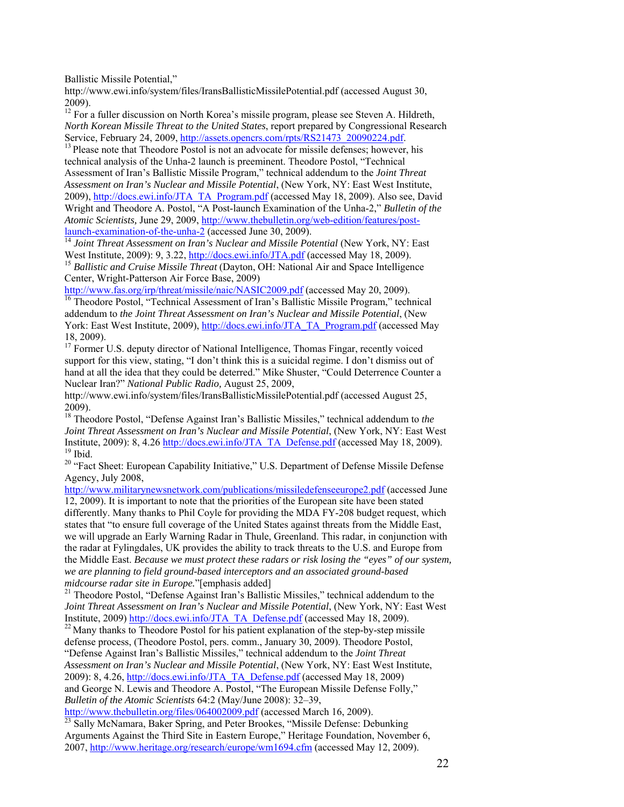Ballistic Missile Potential,"

http://www.ewi.info/system/files/IransBallisticMissilePotential.pdf (accessed August 30, 2009).

<sup>12</sup> For a fuller discussion on North Korea's missile program, please see Steven A. Hildreth, *North Korean Missile Threat to the United States*, report prepared by Congressional Research Service, February 24, 2009, http://assets.opencrs.com/rpts/RS21473\_20090224.pdf. <sup>13</sup> Please note that Theodore Postol is not an advocate for missile defenses; however, his

technical analysis of the Unha-2 launch is preeminent. Theodore Postol, "Technical Assessment of Iran's Ballistic Missile Program," technical addendum to the *Joint Threat Assessment on Iran's Nuclear and Missile Potential*, (New York, NY: East West Institute, 2009), http://docs.ewi.info/JTA\_TA\_Program.pdf (accessed May 18, 2009). Also see, David Wright and Theodore A. Postol, "A Post-launch Examination of the Unha-2," *Bulletin of the Atomic Scientists,* June 29, 2009, http://www.thebulletin.org/web-edition/features/post-

launch-examination-of-the-unha-2 (accessed June 30, 2009).<br><sup>14</sup> *Joint Threat Assessment on Iran's Nuclear and Missile Potential* (New York, NY: East West Institute, 2009): 9, 3.22, http://docs.ewi.info/JTA.pdf (accessed M

<sup>15</sup> Ballistic and Cruise Missile Threat (Dayton, OH: National Air and Space Intelligence Center, Wright-Patterson Air Force Base, 2009)<br>http://www.fas.org/irp/threat/missile/naic/NASIC2009.pdf (accessed May 20, 2009).

<sup>16</sup> Theodore Postol, "Technical Assessment of Iran's Ballistic Missile Program," technical addendum to *the Joint Threat Assessment on Iran's Nuclear and Missile Potential*, (New York: East West Institute, 2009), http://docs.ewi.info/JTA\_TA\_Program.pdf (accessed May 18, 2009).

<sup>17</sup> Former U.S. deputy director of National Intelligence, Thomas Fingar, recently voiced support for this view, stating, "I don't think this is a suicidal regime. I don't dismiss out of hand at all the idea that they could be deterred." Mike Shuster, "Could Deterrence Counter a Nuclear Iran?" *National Public Radio,* August 25, 2009,

http://www.ewi.info/system/files/IransBallisticMissilePotential.pdf (accessed August 25, 2009).

18 Theodore Postol, "Defense Against Iran's Ballistic Missiles," technical addendum to *the Joint Threat Assessment on Iran's Nuclear and Missile Potential*, (New York, NY: East West Institute, 2009): 8, 4.26 http://docs.ewi.info/JTA\_TA\_Defense.pdf (accessed May 18, 2009). <sup>19</sup> Ibid.

<sup>20</sup> "Fact Sheet: European Capability Initiative," U.S. Department of Defense Missile Defense Agency, July 2008,

http://www.militarynewsnetwork.com/publications/missiledefenseeurope2.pdf (accessed June 12, 2009). It is important to note that the priorities of the European site have been stated differently. Many thanks to Phil Coyle for providing the MDA FY-208 budget request, which states that "to ensure full coverage of the United States against threats from the Middle East, we will upgrade an Early Warning Radar in Thule, Greenland. This radar, in conjunction with the radar at Fylingdales, UK provides the ability to track threats to the U.S. and Europe from the Middle East. *Because we must protect these radars or risk losing the "eyes" of our system, we are planning to field ground-based interceptors and an associated ground-based* 

<sup>21</sup> Theodore Postol, "Defense Against Iran's Ballistic Missiles," technical addendum to the *Joint Threat Assessment on Iran's Nuclear and Missile Potential*, (New York, NY: East West Institute, 2009) http://docs.ewi.info/JTA\_TA\_Defense.pdf (accessed May 18, 2009).<br><sup>22</sup> Many thanks to Theodore Postol for his patient explanation of the step-by-step missile

defense process, (Theodore Postol, pers. comm., January 30, 2009). Theodore Postol, "Defense Against Iran's Ballistic Missiles," technical addendum to the *Joint Threat Assessment on Iran's Nuclear and Missile Potential*, (New York, NY: East West Institute, 2009): 8, 4.26, http://docs.ewi.info/JTA\_TA\_Defense.pdf (accessed May 18, 2009) and George N. Lewis and Theodore A. Postol, "The European Missile Defense Folly," *Bulletin of the Atomic Scientists* 64:2 (May/June 2008): 32–39,<br>http://www.thebulletin.org/files/064002009.pdf (accessed March 16, 2009).

 $\frac{1}{23}$  Sally McNamara, Baker Spring, and Peter Brookes, "Missile Defense: Debunking Arguments Against the Third Site in Eastern Europe," Heritage Foundation, November 6, 2007, http://www.heritage.org/research/europe/wm1694.cfm (accessed May 12, 2009).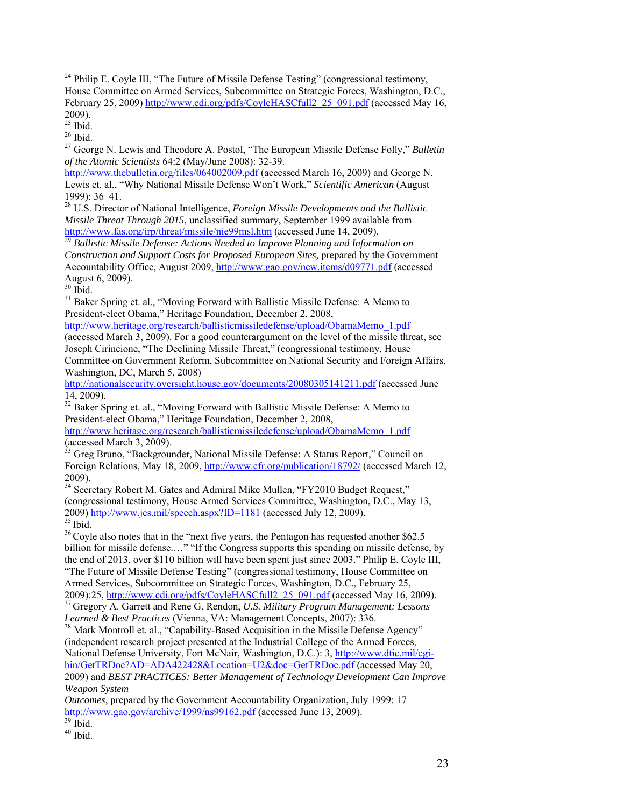$24$  Philip E. Coyle III, "The Future of Missile Defense Testing" (congressional testimony, House Committee on Armed Services, Subcommittee on Strategic Forces, Washington, D.C., February 25, 2009) http://www.cdi.org/pdfs/CoyleHASCfull2\_25\_091.pdf (accessed May 16, 2009).

 $25$  Ibid.

 $26$  Ibid.

27 George N. Lewis and Theodore A. Postol, "The European Missile Defense Folly," *Bulletin of the Atomic Scientists* 64:2 (May/June 2008): 32-39.

http://www.thebulletin.org/files/064002009.pdf (accessed March 16, 2009) and George N. Lewis et. al., "Why National Missile Defense Won't Work," *Scientific American* (August 1999): 36–41.

28 U.S. Director of National Intelligence, *Foreign Missile Developments and the Ballistic Missile Threat Through 2015,* unclassified summary, September 1999 available from http://www.fas.org/irp/threat/missile/nie99msl.htm (accessed June 14, 2009). 29 *Ballistic Missile Defense: Actions Needed to Improve Planning and Information on* 

*Construction and Support Costs for Proposed European Sites,* prepared by the Government Accountability Office, August 2009, http://www.gao.gov/new.items/d09771.pdf (accessed August 6, 2009).

 $30$  Ibid.

<sup>31</sup> Baker Spring et. al., "Moving Forward with Ballistic Missile Defense: A Memo to President-elect Obama," Heritage Foundation, December 2, 2008,

http://www.heritage.org/research/ballisticmissiledefense/upload/ObamaMemo\_1.pdf

(accessed March 3, 2009). For a good counterargument on the level of the missile threat, see Joseph Cirincione, "The Declining Missile Threat," (congressional testimony, House Committee on Government Reform, Subcommittee on National Security and Foreign Affairs, Washington, DC, March 5, 2008)

http://nationalsecurity.oversight.house.gov/documents/20080305141211.pdf (accessed June 14, 2009).

<sup>32</sup> Baker Spring et. al., "Moving Forward with Ballistic Missile Defense: A Memo to President-elect Obama," Heritage Foundation, December 2, 2008,

http://www.heritage.org/research/ballisticmissiledefense/upload/ObamaMemo\_1.pdf (accessed March 3, 2009).

 $33$  Greg Bruno, "Backgrounder, National Missile Defense: A Status Report," Council on Foreign Relations, May 18, 2009, http://www.cfr.org/publication/18792/ (accessed March 12, 2009).

<sup>34</sup> Secretary Robert M. Gates and Admiral Mike Mullen, "FY2010 Budget Request," (congressional testimony, House Armed Services Committee, Washington, D.C., May 13, 2009) http://www.jcs.mil/speech.aspx?ID=1181 (accessed July 12, 2009).

 $\frac{35 \text{ Ibid.}}{36 \text{ Coyle also notes that in the "next five years, the Pentagon has requested another $62.5}$ billion for missile defense.…" "If the Congress supports this spending on missile defense, by the end of 2013, over \$110 billion will have been spent just since 2003." Philip E. Coyle III, "The Future of Missile Defense Testing" (congressional testimony, House Committee on

Armed Services, Subcommittee on Strategic Forces, Washington, D.C., February 25, 2009):25, http://www.cdi.org/pdfs/CoyleHASCfull2 25 091.pdf (accessed May 16, 2009). <sup>37</sup> Gregory A. Garrett and Rene G. Rendon, *U.S. Military Program Management: Lessons* 

*Learned & Best Practices* (Vienna, VA: Management Concepts, 2007): 336.<br><sup>38</sup> Mark Montroll et. al., "Capability-Based Acquisition in the Missile Defense Agency" (independent research project presented at the Industrial College of the Armed Forces, National Defense University, Fort McNair, Washington, D.C.): 3, http://www.dtic.mil/cgibin/GetTRDoc?AD=ADA422428&Location=U2&doc=GetTRDoc.pdf (accessed May 20,

2009) and *BEST PRACTICES: Better Management of Technology Development Can Improve Weapon System* 

*Outcomes*, prepared by the Government Accountability Organization, July 1999: 17 http://www.gao.gov/archive/1999/ns99162.pdf (accessed June 13, 2009).  $\frac{139}{39}$  Ibid.

 $40$  Ibid.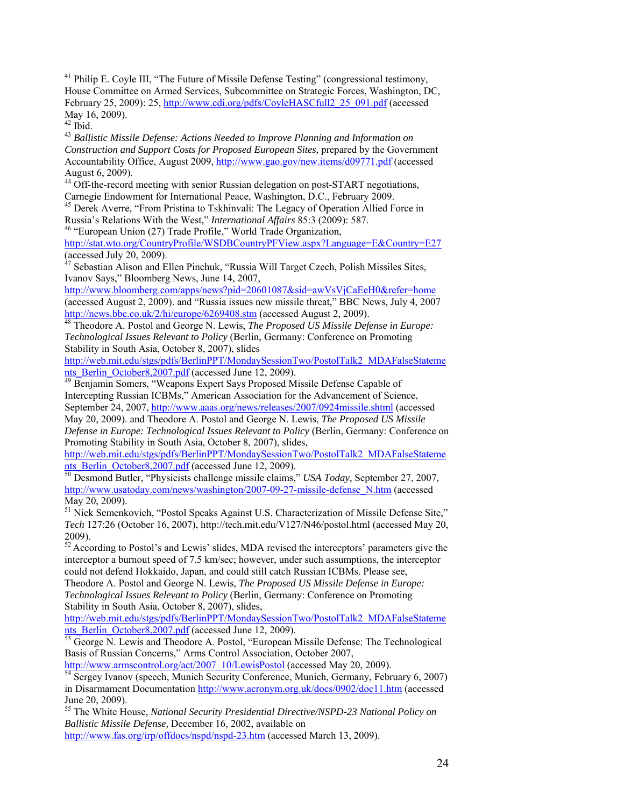<sup>41</sup> Philip E. Coyle III, "The Future of Missile Defense Testing" (congressional testimony, House Committee on Armed Services, Subcommittee on Strategic Forces, Washington, DC, February 25, 2009): 25, http://www.cdi.org/pdfs/CoyleHASCfull2\_25\_091.pdf (accessed May 16, 2009).

 $42$  Ibid.

<sup>43</sup> *Ballistic Missile Defense: Actions Needed to Improve Planning and Information on Construction and Support Costs for Proposed European Sites,* prepared by the Government Accountability Office, August 2009, http://www.gao.gov/new.items/d09771.pdf (accessed August 6, 2009).

<sup>44</sup> Off-the-record meeting with senior Russian delegation on post-START negotiations,

Carnegie Endowment for International Peace, Washington, D.C., February 2009.<br><sup>45</sup> Derek Averre, "From Pristina to Tskhinvali: The Legacy of Operation Allied Force in Russia's Relations With the West," *International Affair* 

<sup>46</sup> "European Union (27) Trade Profile," World Trade Organization,

http://stat.wto.org/CountryProfile/WSDBCountryPFView.aspx?Language=E&Country=E27 (accessed July 20, 2009).

<sup>47</sup> Sebastian Alison and Ellen Pinchuk, "Russia Will Target Czech, Polish Missiles Sites, Ivanov Says," Bloomberg News, June 14, 2007,

http://www.bloomberg.com/apps/news?pid=20601087&sid=awVsVjCaEeH0&refer=home (accessed August 2, 2009). and "Russia issues new missile threat," BBC News, July 4, 2007<br>http://news.bbc.co.uk/2/hi/europe/6269408.stm (accessed August 2, 2009).

<sup>48</sup> Theodore A. Postol and George N. Lewis, *The Proposed US Missile Defense in Europe: Technological Issues Relevant to Policy* (Berlin, Germany: Conference on Promoting Stability in South Asia, October 8, 2007), slides

http://web.mit.edu/stgs/pdfs/BerlinPPT/MondaySessionTwo/PostolTalk2\_MDAFalseStatements\_Berlin\_October8,2007.pdf (accessed June 12, 2009).

Benjamin Somers, "Weapons Expert Says Proposed Missile Defense Capable of Intercepting Russian ICBMs," American Association for the Advancement of Science, September 24, 2007, http://www.aaas.org/news/releases/2007/0924missile.shtml (accessed May 20, 2009). and Theodore A. Postol and George N. Lewis, *The Proposed US Missile* 

*Defense in Europe: Technological Issues Relevant to Policy* (Berlin, Germany: Conference on Promoting Stability in South Asia, October 8, 2007), slides,

http://web.mit.edu/stgs/pdfs/BerlinPPT/MondaySessionTwo/PostolTalk2\_MDAFalseStatements Berlin October8,2007.pdf (accessed June 12, 2009).

<sup>50</sup> Desmond Butler, "Physicists challenge missile claims," *USA Today*, September 27, 2007, http://www.usatoday.com/news/washington/2007-09-27-missile-defense\_N.htm (accessed May 20, 2009).

<sup>51</sup> Nick Semenkovich, "Postol Speaks Against U.S. Characterization of Missile Defense Site," *Tech* 127:26 (October 16, 2007), http://tech.mit.edu/V127/N46/postol.html (accessed May 20, 2009).

 $52$  According to Postol's and Lewis' slides, MDA revised the interceptors' parameters give the interceptor a burnout speed of 7.5 km/sec; however, under such assumptions, the interceptor could not defend Hokkaido, Japan, and could still catch Russian ICBMs. Please see,

Theodore A. Postol and George N. Lewis, *The Proposed US Missile Defense in Europe: Technological Issues Relevant to Policy* (Berlin, Germany: Conference on Promoting Stability in South Asia, October 8, 2007), slides,

http://web.mit.edu/stgs/pdfs/BerlinPPT/MondaySessionTwo/PostolTalk2\_MDAFalseStateme nts\_Berlin\_October8,2007.pdf (accessed June 12, 2009).<br>
<sup>53</sup> George N. Lewis and Theodore A. Postol, "European Missile Defense: The Technological

Basis of Russian Concerns," Arms Control Association, October 2007,

http://www.armscontrol.org/act/2007\_10/LewisPostol (accessed May 20, 2009).<br><sup>54</sup> Sergey Ivanov (speech, Munich Security Conference, Munich, Germany, February 6, 2007)

in Disarmament Documentation http://www.acronym.org.uk/docs/0902/doc11.htm (accessed June 20, 2009).

55 The White House, *National Security Presidential Directive/NSPD-23 National Policy on Ballistic Missile Defense,* December 16, 2002, available on http://www.fas.org/irp/offdocs/nspd/nspd-23.htm (accessed March 13, 2009).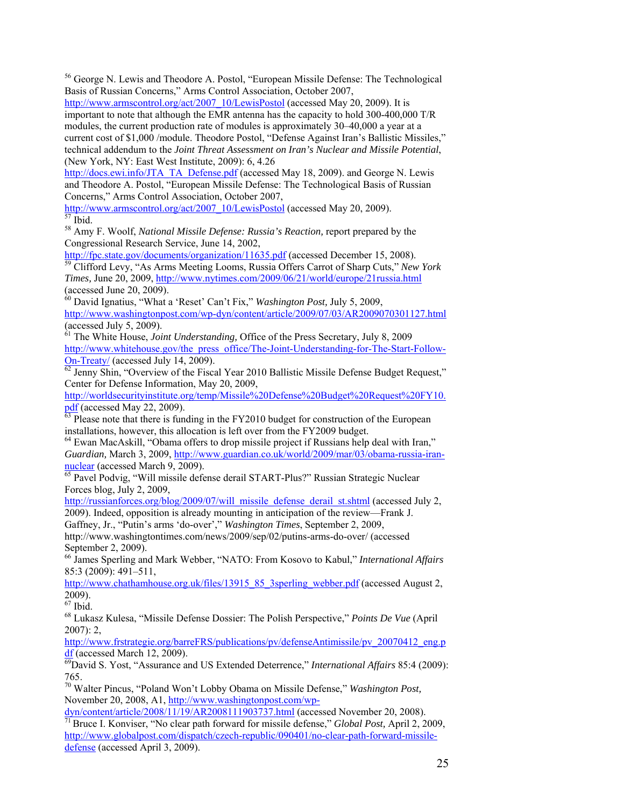56 George N. Lewis and Theodore A. Postol, "European Missile Defense: The Technological Basis of Russian Concerns," Arms Control Association, October 2007,

http://www.armscontrol.org/act/2007\_10/LewisPostol (accessed May 20, 2009). It is important to note that although the EMR antenna has the capacity to hold 300-400,000 T/R modules, the current production rate of modules is approximately 30–40,000 a year at a current cost of \$1,000 /module. Theodore Postol, "Defense Against Iran's Ballistic Missiles," technical addendum to the *Joint Threat Assessment on Iran's Nuclear and Missile Potential*, (New York, NY: East West Institute, 2009): 6, 4.26

http://docs.ewi.info/JTA\_TA\_Defense.pdf (accessed May 18, 2009). and George N. Lewis and Theodore A. Postol, "European Missile Defense: The Technological Basis of Russian Concerns," Arms Control Association, October 2007,

http://www.armscontrol.org/act/2007\_10/LewisPostol (accessed May 20, 2009). <sup>57</sup> Ibid.

58 Amy F. Woolf, *National Missile Defense: Russia's Reaction,* report prepared by the Congressional Research Service, June 14, 2002,<br>http://fpc.state.gov/documents/organization/11635.pdf (accessed December 15, 2008).

<sup>59</sup> Clifford Levy, "As Arms Meeting Looms, Russia Offers Carrot of Sharp Cuts," *New York Times,* June 20, 2009, http://www.nytimes.com/2009/06/21/world/europe/21russia.html (accessed June 20, 2009).

60 David Ignatius, "What a 'Reset' Can't Fix," *Washington Post,* July 5, 2009, http://www.washingtonpost.com/wp-dyn/content/article/2009/07/03/AR2009070301127.html  $(\text{accessed July 5, 2009}).$ 

61 The White House, *Joint Understanding,* Office of the Press Secretary, July 8, 2009 http://www.whitehouse.gov/the\_press\_office/The-Joint-Understanding-for-The-Start-Follow-<br>On-Treaty/ (accessed July 14, 2009).

 $\overline{62}$  Jenny Shin, "Overview of the Fiscal Year 2010 Ballistic Missile Defense Budget Request," Center for Defense Information, May 20, 2009,

http://worldsecurityinstitute.org/temp/Missile%20Defense%20Budget%20Request%20FY10.

 $\frac{\text{pdf}}{63}$  Please note that there is funding in the FY2010 budget for construction of the European installations, however, this allocation is left over from the FY2009 budget.

<sup>64</sup> Ewan MacAskill, "Obama offers to drop missile project if Russians help deal with Iran," *Guardian, March 3, 2009, http://www.guardian.co.uk/world/2009/mar/03/obama-russia-iran-nuclear (accessed March 9, 2009).* 

 $\overline{65}$  Pavel Podvig, "Will missile defense derail START-Plus?" Russian Strategic Nuclear Forces blog, July 2, 2009,

http://russianforces.org/blog/2009/07/will\_missile\_defense\_derail\_st.shtml (accessed July 2, 2009). Indeed, opposition is already mounting in anticipation of the review—Frank J.

Gaffney, Jr., "Putin's arms 'do-over'," *Washington Times*, September 2, 2009,

http://www.washingtontimes.com/news/2009/sep/02/putins-arms-do-over/ (accessed September 2, 2009).

66 James Sperling and Mark Webber, "NATO: From Kosovo to Kabul," *International Affairs*  85:3 (2009): 491–511,

http://www.chathamhouse.org.uk/files/13915\_85\_3sperling\_webber.pdf (accessed August 2, 2009).

 $67$  Ibid.

68 Lukasz Kulesa, "Missile Defense Dossier: The Polish Perspective," *Points De Vue* (April  $2007$ : 2,

http://www.frstrategie.org/barreFRS/publications/pv/defenseAntimissile/pv\_20070412\_eng.p df (accessed March 12, 2009). 69David S. Yost, "Assurance and US Extended Deterrence," *International Affairs* 85:4 (2009):

765.

70 Walter Pincus, "Poland Won't Lobby Obama on Missile Defense," *Washington Post,*  November 20, 2008, A1, http://www.washingtonpost.com/wp-<br>dyn/content/article/2008/11/19/AR2008111903737.html (accessed November 20, 2008).

 $\frac{1}{71}$ Bruce I. Konviser, "No clear path forward for missile defense," *Global Post*, April 2, 2009, http://www.globalpost.com/dispatch/czech-republic/090401/no-clear-path-forward-missiledefense (accessed April 3, 2009).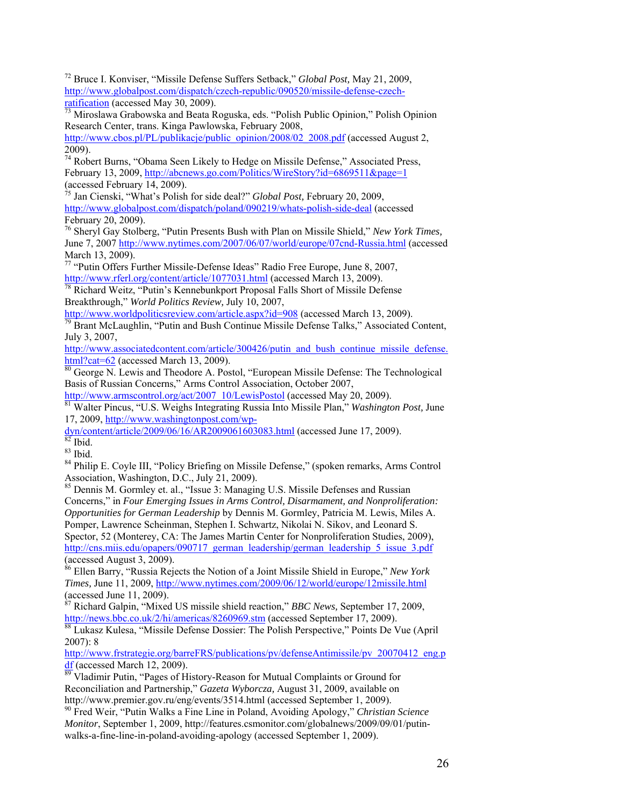72 Bruce I. Konviser, "Missile Defense Suffers Setback," *Global Post,* May 21, 2009, http://www.globalpost.com/dispatch/czech-republic/090520/missile-defense-czech-

ratification (accessed May 30, 2009).<br><sup>73</sup> Miroslawa Grabowska and Beata Roguska, eds. "Polish Public Opinion," Polish Opinion Research Center, trans. Kinga Pawlowska, February 2008,

http://www.cbos.pl/PL/publikacje/public\_opinion/2008/02\_2008.pdf (accessed August 2, 2009).

74 Robert Burns, "Obama Seen Likely to Hedge on Missile Defense," Associated Press, February 13, 2009, http://abcnews.go.com/Politics/WireStory?id=6869511&page=1 (accessed February 14, 2009).

75 Jan Cienski, "What's Polish for side deal?" *Global Post,* February 20, 2009, http://www.globalpost.com/dispatch/poland/090219/whats-polish-side-deal (accessed February 20, 2009).

76 Sheryl Gay Stolberg, "Putin Presents Bush with Plan on Missile Shield," *New York Times,*  June 7, 2007 http://www.nytimes.com/2007/06/07/world/europe/07cnd-Russia.html (accessed March 13, 2009).

<sup>77</sup> "Putin Offers Further Missile-Defense Ideas" Radio Free Europe, June 8, 2007,

http://www.rferl.org/content/article/1077031.html (accessed March 13, 2009).<br><sup>78</sup> Richard Weitz, "Putin's Kennebunkport Proposal Falls Short of Missile Defense

Breakthrough," *World Politics Review, July 10, 2007*,<br>http://www.worldpoliticsreview.com/article.aspx?id=908 (accessed March 13, 2009).

 $\frac{1}{20}$  Brant McLaughlin, "Putin and Bush Continue Missile Defense Talks," Associated Content, July 3, 2007,

http://www.associatedcontent.com/article/300426/putin\_and\_bush\_continue\_missile\_defense.  $\frac{html?cat=62}{80}$  (accessed March 13, 2009).<br><sup>80</sup> George N. Lewis and Theodore A. Postol, "European Missile Defense: The Technological

Basis of Russian Concerns," Arms Control Association, October 2007,

http://www.armscontrol.org/act/2007\_10/LewisPostol (accessed May 20, 2009). 81 Walter Pincus, "U.S. Weighs Integrating Russia Into Missile Plan," *Washington Post,* June 17, 2009, http://www.washingtonpost.com/wp-

 $\frac{dyn/content/article/2009/06/16/AR2009061603083.html}{82}$  (accessed June 17, 2009).

83 Ibid.

<sup>84</sup> Philip E. Coyle III, "Policy Briefing on Missile Defense," (spoken remarks, Arms Control Association, Washington, D.C., July 21, 2009).

<sup>85</sup> Dennis M. Gormley et. al., "Issue 3: Managing U.S. Missile Defenses and Russian Concerns," in *Four Emerging Issues in Arms Control, Disarmament, and Nonproliferation: Opportunities for German Leadership* by Dennis M. Gormley, Patricia M. Lewis, Miles A. Pomper, Lawrence Scheinman, Stephen I. Schwartz, Nikolai N. Sikov, and Leonard S. Spector, 52 (Monterey, CA: The James Martin Center for Nonproliferation Studies, 2009), http://cns.miis.edu/opapers/090717\_german\_leadership/german\_leadership\_5\_issue\_3.pdf (accessed August 3, 2009).

86 Ellen Barry, "Russia Rejects the Notion of a Joint Missile Shield in Europe," *New York Times,* June 11, 2009, http://www.nytimes.com/2009/06/12/world/europe/12missile.html (accessed June 11, 2009).

87 Richard Galpin, "Mixed US missile shield reaction," *BBC News,* September 17, 2009,

http://news.bbc.co.uk/2/hi/americas/8260969.stm (accessed September 17, 2009).<br><sup>88</sup> Lukasz Kulesa, "Missile Defense Dossier: The Polish Perspective," Points De Vue (April 2007): 8

http://www.frstrategie.org/barreFRS/publications/pv/defenseAntimissile/pv\_20070412\_eng.p df (accessed March 12, 2009).<br><sup>89</sup> Vladimir Putin, "Pages of History-Reason for Mutual Complaints or Ground for

Reconciliation and Partnership," *Gazeta Wyborcza*, August 31, 2009, available on http://www.premier.gov.ru/eng/events/3514.html (accessed September 1, 2009).

<sup>90</sup> Fred Weir, "Putin Walks a Fine Line in Poland, Avoiding Apology," *Christian Science Monitor*, September 1, 2009, http://features.csmonitor.com/globalnews/2009/09/01/putinwalks-a-fine-line-in-poland-avoiding-apology (accessed September 1, 2009).